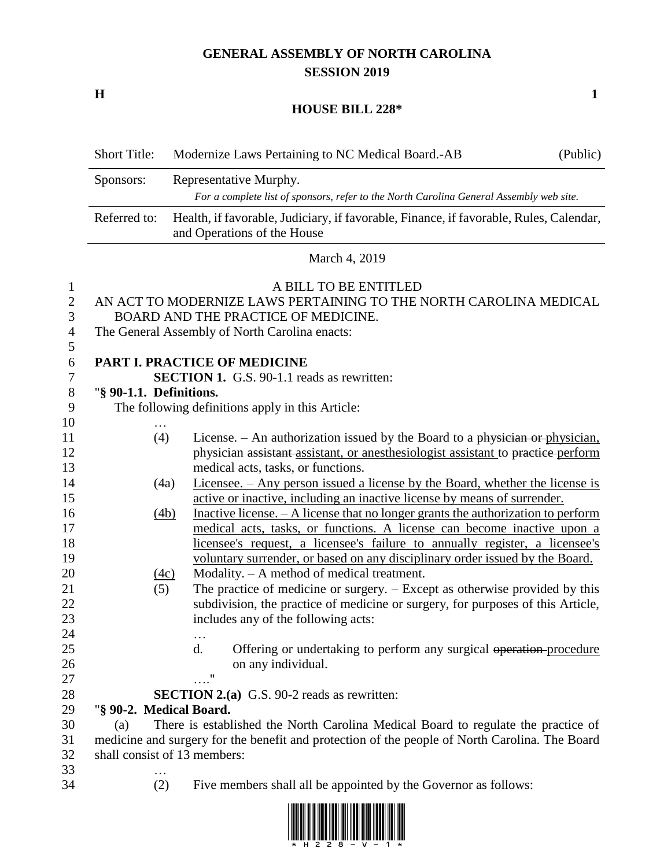# **GENERAL ASSEMBLY OF NORTH CAROLINA SESSION 2019**

**H 1**

#### **HOUSE BILL 228\***

|                             | <b>Short Title:</b>     | Modernize Laws Pertaining to NC Medical Board.-AB<br>(Public)                                                                                                                       |
|-----------------------------|-------------------------|-------------------------------------------------------------------------------------------------------------------------------------------------------------------------------------|
|                             | Sponsors:               | Representative Murphy.                                                                                                                                                              |
|                             |                         | For a complete list of sponsors, refer to the North Carolina General Assembly web site.                                                                                             |
|                             | Referred to:            | Health, if favorable, Judiciary, if favorable, Finance, if favorable, Rules, Calendar,<br>and Operations of the House                                                               |
|                             |                         | March 4, 2019                                                                                                                                                                       |
| 1<br>$\mathbf{2}$<br>3<br>4 |                         | A BILL TO BE ENTITLED<br>AN ACT TO MODERNIZE LAWS PERTAINING TO THE NORTH CAROLINA MEDICAL<br>BOARD AND THE PRACTICE OF MEDICINE.<br>The General Assembly of North Carolina enacts: |
| 5<br>6                      |                         | PART I. PRACTICE OF MEDICINE                                                                                                                                                        |
| 7<br>$8\,$                  | "§ 90-1.1. Definitions. | <b>SECTION 1.</b> G.S. 90-1.1 reads as rewritten:                                                                                                                                   |
| 9                           |                         | The following definitions apply in this Article:                                                                                                                                    |
| 10                          |                         |                                                                                                                                                                                     |
| 11                          | (4)                     | License. – An authorization issued by the Board to a physician or physician.                                                                                                        |
| 12                          |                         | physician assistant assistant, or anesthesiologist assistant to practice perform                                                                                                    |
| 13                          |                         | medical acts, tasks, or functions.                                                                                                                                                  |
| 14                          |                         | <u>Licensee. – Any person issued a license by the Board, whether the license is</u><br>(4a)                                                                                         |
| 15                          |                         | active or inactive, including an inactive license by means of surrender.                                                                                                            |
| 16                          |                         | Inactive license. $- A$ license that no longer grants the authorization to perform<br>(4b)                                                                                          |
| 17                          |                         | medical acts, tasks, or functions. A license can become inactive upon a                                                                                                             |
| 18                          |                         | licensee's request, a licensee's failure to annually register, a licensee's                                                                                                         |
| 19                          |                         | voluntary surrender, or based on any disciplinary order issued by the Board.                                                                                                        |
| 20                          |                         | Modality. - A method of medical treatment.<br>(4c)                                                                                                                                  |
| 21                          | (5)                     | The practice of medicine or surgery. - Except as otherwise provided by this                                                                                                         |
| 22                          |                         | subdivision, the practice of medicine or surgery, for purposes of this Article,                                                                                                     |
| 23                          |                         | includes any of the following acts:                                                                                                                                                 |
| 24                          |                         | $\cdots$                                                                                                                                                                            |
| 25                          |                         | d.<br>Offering or undertaking to perform any surgical operation-procedure                                                                                                           |
| 26                          |                         | on any individual.                                                                                                                                                                  |
| 27                          |                         | $\ldots$ "                                                                                                                                                                          |
| 28                          |                         | <b>SECTION 2.(a)</b> G.S. 90-2 reads as rewritten:                                                                                                                                  |
| 29                          | "§ 90-2. Medical Board. |                                                                                                                                                                                     |
| 30                          | (a)                     | There is established the North Carolina Medical Board to regulate the practice of                                                                                                   |
| 31                          |                         | medicine and surgery for the benefit and protection of the people of North Carolina. The Board                                                                                      |
| 32                          |                         | shall consist of 13 members:                                                                                                                                                        |
| 33                          |                         |                                                                                                                                                                                     |
| 34                          | (2)                     | Five members shall all be appointed by the Governor as follows:                                                                                                                     |

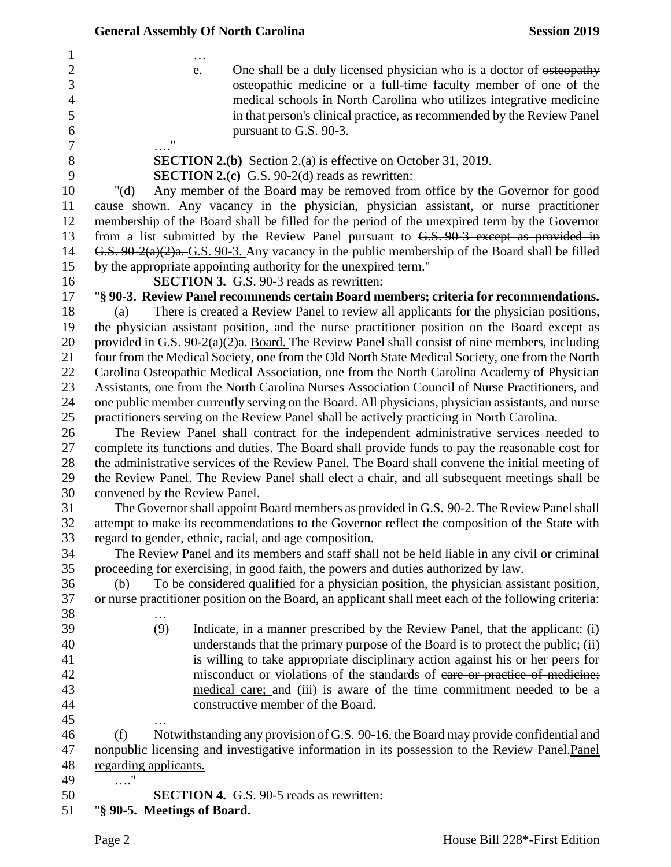|         |                       | <b>General Assembly Of North Carolina</b>                                                            | <b>Session 2019</b> |
|---------|-----------------------|------------------------------------------------------------------------------------------------------|---------------------|
|         |                       |                                                                                                      |                     |
|         |                       | One shall be a duly licensed physician who is a doctor of esteopathy<br>e.                           |                     |
|         |                       | osteopathic medicine or a full-time faculty member of one of the                                     |                     |
|         |                       | medical schools in North Carolina who utilizes integrative medicine                                  |                     |
|         |                       | in that person's clinical practice, as recommended by the Review Panel                               |                     |
|         |                       | pursuant to G.S. 90-3.                                                                               |                     |
|         | $\ldots$ "            |                                                                                                      |                     |
|         |                       | <b>SECTION 2.(b)</b> Section 2.(a) is effective on October 31, 2019.                                 |                     |
|         |                       | <b>SECTION 2.(c)</b> G.S. 90-2(d) reads as rewritten:                                                |                     |
| " $(d)$ |                       | Any member of the Board may be removed from office by the Governor for good                          |                     |
|         |                       | cause shown. Any vacancy in the physician, physician assistant, or nurse practitioner                |                     |
|         |                       | membership of the Board shall be filled for the period of the unexpired term by the Governor         |                     |
|         |                       | from a list submitted by the Review Panel pursuant to $G.S. 90-3$ except as provided in              |                     |
|         |                       | G.S. 90-2(a)(2)a.-G.S. 90-3. Any vacancy in the public membership of the Board shall be filled       |                     |
|         |                       | by the appropriate appointing authority for the unexpired term."                                     |                     |
|         |                       | <b>SECTION 3.</b> G.S. 90-3 reads as rewritten:                                                      |                     |
|         |                       | "§ 90-3. Review Panel recommends certain Board members; criteria for recommendations.                |                     |
| (a)     |                       | There is created a Review Panel to review all applicants for the physician positions,                |                     |
|         |                       | the physician assistant position, and the nurse practitioner position on the Board except as         |                     |
|         |                       | provided in G.S. $90-2(a)(2)a$ . Board. The Review Panel shall consist of nine members, including    |                     |
|         |                       | four from the Medical Society, one from the Old North State Medical Society, one from the North      |                     |
|         |                       | Carolina Osteopathic Medical Association, one from the North Carolina Academy of Physician           |                     |
|         |                       | Assistants, one from the North Carolina Nurses Association Council of Nurse Practitioners, and       |                     |
|         |                       | one public member currently serving on the Board. All physicians, physician assistants, and nurse    |                     |
|         |                       | practitioners serving on the Review Panel shall be actively practicing in North Carolina.            |                     |
|         |                       | The Review Panel shall contract for the independent administrative services needed to                |                     |
|         |                       | complete its functions and duties. The Board shall provide funds to pay the reasonable cost for      |                     |
|         |                       | the administrative services of the Review Panel. The Board shall convene the initial meeting of      |                     |
|         |                       | the Review Panel. The Review Panel shall elect a chair, and all subsequent meetings shall be         |                     |
|         |                       | convened by the Review Panel.                                                                        |                     |
|         |                       | The Governor shall appoint Board members as provided in G.S. 90-2. The Review Panel shall            |                     |
|         |                       | attempt to make its recommendations to the Governor reflect the composition of the State with        |                     |
|         |                       | regard to gender, ethnic, racial, and age composition.                                               |                     |
|         |                       | The Review Panel and its members and staff shall not be held liable in any civil or criminal         |                     |
|         |                       | proceeding for exercising, in good faith, the powers and duties authorized by law.                   |                     |
| (b)     |                       | To be considered qualified for a physician position, the physician assistant position,               |                     |
|         |                       | or nurse practitioner position on the Board, an applicant shall meet each of the following criteria: |                     |
|         |                       |                                                                                                      |                     |
|         | (9)                   | Indicate, in a manner prescribed by the Review Panel, that the applicant: (i)                        |                     |
|         |                       | understands that the primary purpose of the Board is to protect the public; (ii)                     |                     |
|         |                       | is willing to take appropriate disciplinary action against his or her peers for                      |                     |
|         |                       | misconduct or violations of the standards of care or practice of medicine;                           |                     |
|         |                       | medical care; and (iii) is aware of the time commitment needed to be a                               |                     |
|         |                       | constructive member of the Board.                                                                    |                     |
|         |                       |                                                                                                      |                     |
| (f)     |                       | Notwithstanding any provision of G.S. 90-16, the Board may provide confidential and                  |                     |
|         |                       | nonpublic licensing and investigative information in its possession to the Review Panel. Panel       |                     |
|         | regarding applicants. |                                                                                                      |                     |
|         |                       |                                                                                                      |                     |
|         |                       | <b>SECTION 4.</b> G.S. 90-5 reads as rewritten:                                                      |                     |
|         |                       | "§ 90-5. Meetings of Board.                                                                          |                     |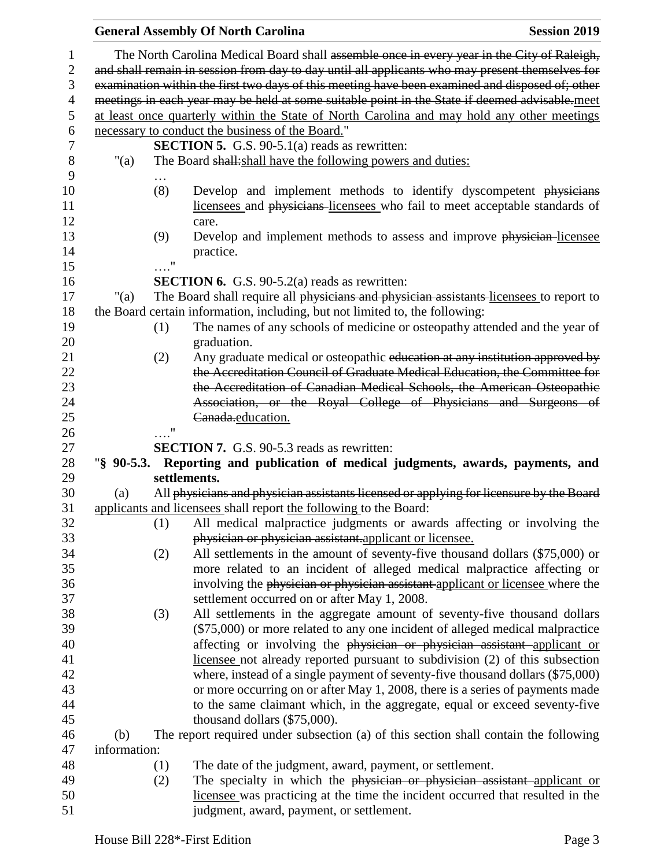|                |              |            | <b>General Assembly Of North Carolina</b><br><b>Session 2019</b>                                                                                           |
|----------------|--------------|------------|------------------------------------------------------------------------------------------------------------------------------------------------------------|
| 1              |              |            | The North Carolina Medical Board shall assemble once in every year in the City of Raleigh,                                                                 |
| $\mathbf{2}$   |              |            | and shall remain in session from day to day until all applicants who may present themselves for                                                            |
| 3              |              |            | examination within the first two days of this meeting have been examined and disposed of; other                                                            |
| $\overline{4}$ |              |            | meetings in each year may be held at some suitable point in the State if deemed advisable.meet                                                             |
| 5              |              |            | at least once quarterly within the State of North Carolina and may hold any other meetings                                                                 |
| 6              |              |            | necessary to conduct the business of the Board."                                                                                                           |
| 7              |              |            | <b>SECTION 5.</b> G.S. 90-5.1(a) reads as rewritten:                                                                                                       |
| 8              | "(a)         |            | The Board shall: shall have the following powers and duties:                                                                                               |
| 9              |              |            |                                                                                                                                                            |
| 10             |              | (8)        | Develop and implement methods to identify dyscompetent physicians                                                                                          |
| 11             |              |            | licensees and physicians-licensees who fail to meet acceptable standards of                                                                                |
| 12             |              |            | care.                                                                                                                                                      |
| 13             |              | (9)        | Develop and implement methods to assess and improve physician-licensee                                                                                     |
| 14             |              |            | practice.                                                                                                                                                  |
| 15             |              | $\ldots$ " |                                                                                                                                                            |
| 16             |              |            | <b>SECTION 6.</b> G.S. 90-5.2(a) reads as rewritten:                                                                                                       |
| 17             | "(a)         |            | The Board shall require all physicians and physician assistants-licensees to report to                                                                     |
| 18             |              |            | the Board certain information, including, but not limited to, the following:                                                                               |
| 19             |              | (1)        | The names of any schools of medicine or osteopathy attended and the year of                                                                                |
| 20             |              |            | graduation.                                                                                                                                                |
| 21             |              | (2)        | Any graduate medical or osteopathic education at any institution approved by                                                                               |
| 22             |              |            | the Accreditation Council of Graduate Medical Education, the Committee for                                                                                 |
| 23             |              |            | the Accreditation of Canadian Medical Schools, the American Osteopathic                                                                                    |
|                |              |            |                                                                                                                                                            |
|                |              |            |                                                                                                                                                            |
| 24             |              |            | Association, or the Royal College of Physicians and Surgeons of                                                                                            |
| 25             |              |            | Canada.education.                                                                                                                                          |
| 26             |              | $\ldots$ " |                                                                                                                                                            |
| 27             |              |            | <b>SECTION 7.</b> G.S. 90-5.3 reads as rewritten:                                                                                                          |
| 28             |              |            | "§ 90-5.3. Reporting and publication of medical judgments, awards, payments, and                                                                           |
| 29             |              |            | settlements.                                                                                                                                               |
| 30             | (a)          |            | All physicians and physician assistants licensed or applying for licensure by the Board                                                                    |
| 31             |              |            | applicants and licensees shall report the following to the Board:                                                                                          |
| 32             |              | (1)        | All medical malpractice judgments or awards affecting or involving the                                                                                     |
| 33             |              |            | physician or physician assistant applicant or licensee.                                                                                                    |
| 34             |              | (2)        | All settlements in the amount of seventy-five thousand dollars (\$75,000) or                                                                               |
| 35             |              |            | more related to an incident of alleged medical malpractice affecting or                                                                                    |
| 36             |              |            | involving the physician or physician assistant applicant or licensee where the                                                                             |
| 37             |              |            | settlement occurred on or after May 1, 2008.                                                                                                               |
| 38             |              | (3)        | All settlements in the aggregate amount of seventy-five thousand dollars                                                                                   |
| 39             |              |            | (\$75,000) or more related to any one incident of alleged medical malpractice                                                                              |
| 40             |              |            | affecting or involving the physician or physician assistant applicant or                                                                                   |
| 41             |              |            | licensee not already reported pursuant to subdivision (2) of this subsection                                                                               |
| 42             |              |            | where, instead of a single payment of seventy-five thousand dollars (\$75,000)                                                                             |
| 43             |              |            | or more occurring on or after May 1, 2008, there is a series of payments made                                                                              |
| 44             |              |            | to the same claimant which, in the aggregate, equal or exceed seventy-five                                                                                 |
| 45             |              |            | thousand dollars $(\$75,000)$ .                                                                                                                            |
| 46             | (b)          |            | The report required under subsection (a) of this section shall contain the following                                                                       |
| 47             | information: |            |                                                                                                                                                            |
| 48             |              | (1)        | The date of the judgment, award, payment, or settlement.                                                                                                   |
| 49<br>50       |              | (2)        | The specialty in which the physician or physician assistant applicant or<br>licensee was practicing at the time the incident occurred that resulted in the |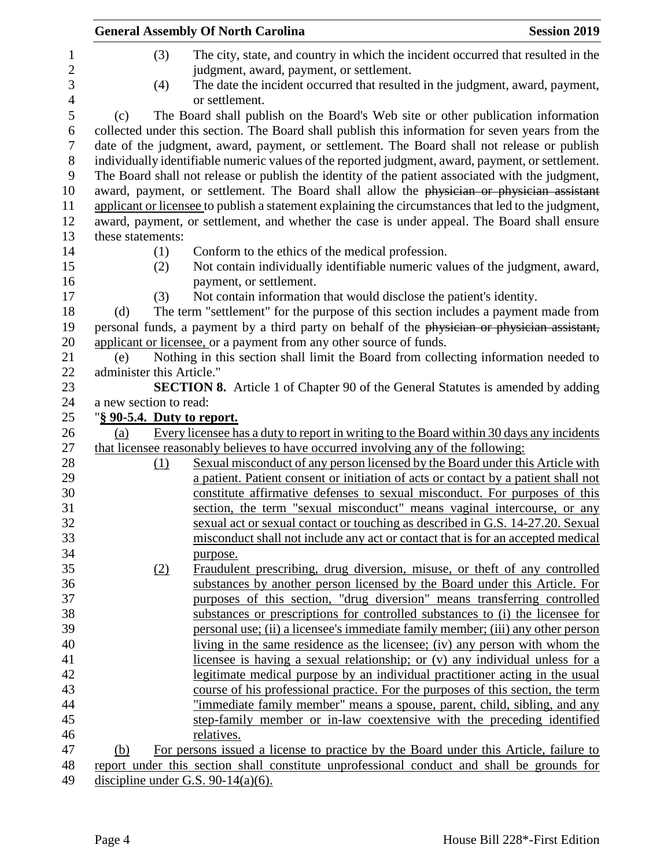|                           |     | <b>General Assembly Of North Carolina</b>                                                                                                              | <b>Session 2019</b> |
|---------------------------|-----|--------------------------------------------------------------------------------------------------------------------------------------------------------|---------------------|
|                           | (3) | The city, state, and country in which the incident occurred that resulted in the                                                                       |                     |
|                           |     | judgment, award, payment, or settlement.                                                                                                               |                     |
|                           | (4) | The date the incident occurred that resulted in the judgment, award, payment,                                                                          |                     |
|                           |     | or settlement.                                                                                                                                         |                     |
| (c)                       |     | The Board shall publish on the Board's Web site or other publication information                                                                       |                     |
|                           |     | collected under this section. The Board shall publish this information for seven years from the                                                        |                     |
|                           |     | date of the judgment, award, payment, or settlement. The Board shall not release or publish                                                            |                     |
|                           |     | individually identifiable numeric values of the reported judgment, award, payment, or settlement.                                                      |                     |
|                           |     | The Board shall not release or publish the identity of the patient associated with the judgment,                                                       |                     |
|                           |     | award, payment, or settlement. The Board shall allow the physician or physician assistant                                                              |                     |
|                           |     | applicant or licensee to publish a statement explaining the circumstances that led to the judgment,                                                    |                     |
|                           |     | award, payment, or settlement, and whether the case is under appeal. The Board shall ensure                                                            |                     |
| these statements:         |     |                                                                                                                                                        |                     |
|                           | (1) | Conform to the ethics of the medical profession.                                                                                                       |                     |
|                           | (2) | Not contain individually identifiable numeric values of the judgment, award,                                                                           |                     |
|                           |     | payment, or settlement.                                                                                                                                |                     |
|                           | (3) | Not contain information that would disclose the patient's identity.                                                                                    |                     |
| (d)                       |     | The term "settlement" for the purpose of this section includes a payment made from                                                                     |                     |
|                           |     | personal funds, a payment by a third party on behalf of the physician or physician assistant,                                                          |                     |
|                           |     | applicant or licensee, or a payment from any other source of funds.                                                                                    |                     |
| (e)                       |     | Nothing in this section shall limit the Board from collecting information needed to                                                                    |                     |
| administer this Article." |     |                                                                                                                                                        |                     |
|                           |     | SECTION 8. Article 1 of Chapter 90 of the General Statutes is amended by adding                                                                        |                     |
| a new section to read:    |     |                                                                                                                                                        |                     |
|                           |     | "§ 90-5.4. Duty to report.                                                                                                                             |                     |
| (a)                       |     | Every licensee has a duty to report in writing to the Board within 30 days any incidents                                                               |                     |
|                           |     | that licensee reasonably believes to have occurred involving any of the following:                                                                     |                     |
|                           | (1) | Sexual misconduct of any person licensed by the Board under this Article with                                                                          |                     |
|                           |     | a patient. Patient consent or initiation of acts or contact by a patient shall not                                                                     |                     |
|                           |     | constitute affirmative defenses to sexual misconduct. For purposes of this                                                                             |                     |
|                           |     | section, the term "sexual misconduct" means vaginal intercourse, or any                                                                                |                     |
|                           |     | sexual act or sexual contact or touching as described in G.S. 14-27.20. Sexual                                                                         |                     |
|                           |     | misconduct shall not include any act or contact that is for an accepted medical                                                                        |                     |
|                           |     | purpose.                                                                                                                                               |                     |
|                           | (2) | Fraudulent prescribing, drug diversion, misuse, or theft of any controlled                                                                             |                     |
|                           |     | substances by another person licensed by the Board under this Article. For<br>purposes of this section, "drug diversion" means transferring controlled |                     |
|                           |     |                                                                                                                                                        |                     |
|                           |     | substances or prescriptions for controlled substances to (i) the licensee for                                                                          |                     |
|                           |     | personal use; (ii) a licensee's immediate family member; (iii) any other person                                                                        |                     |
|                           |     | living in the same residence as the licensee; (iv) any person with whom the                                                                            |                     |
|                           |     | licensee is having a sexual relationship; or (v) any individual unless for a                                                                           |                     |
|                           |     | legitimate medical purpose by an individual practitioner acting in the usual                                                                           |                     |
|                           |     | course of his professional practice. For the purposes of this section, the term                                                                        |                     |
|                           |     | "immediate family member" means a spouse, parent, child, sibling, and any                                                                              |                     |
|                           |     | step-family member or in-law coextensive with the preceding identified                                                                                 |                     |
|                           |     | relatives.                                                                                                                                             |                     |
| (b)                       |     | For persons issued a license to practice by the Board under this Article, failure to                                                                   |                     |
|                           |     | report under this section shall constitute unprofessional conduct and shall be grounds for                                                             |                     |
|                           |     | discipline under G.S. 90-14(a)(6).                                                                                                                     |                     |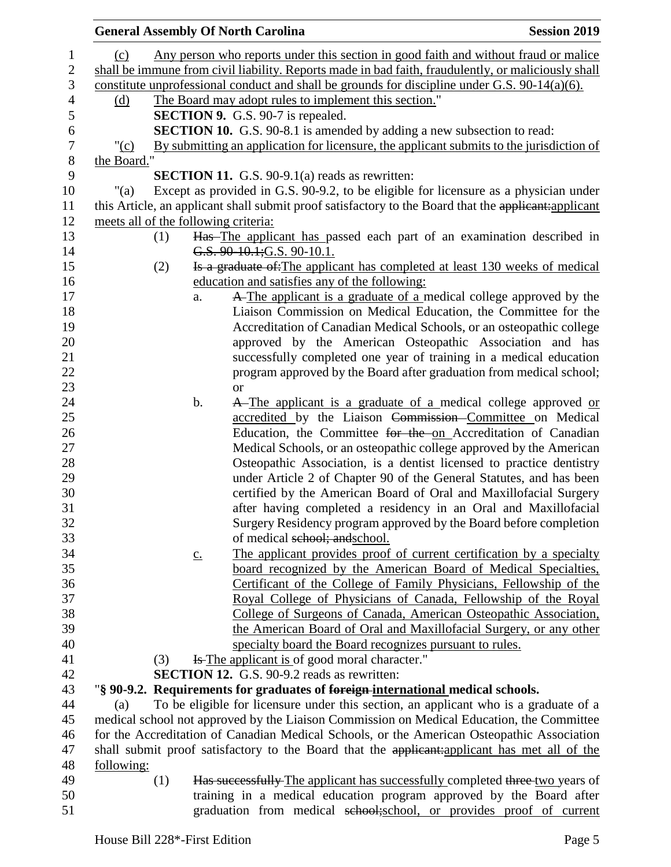|                                      |     |                   | <b>General Assembly Of North Carolina</b>                                                             | <b>Session 2019</b> |
|--------------------------------------|-----|-------------------|-------------------------------------------------------------------------------------------------------|---------------------|
| (c)                                  |     |                   | Any person who reports under this section in good faith and without fraud or malice                   |                     |
|                                      |     |                   | shall be immune from civil liability. Reports made in bad faith, fraudulently, or maliciously shall   |                     |
|                                      |     |                   | constitute unprofessional conduct and shall be grounds for discipline under G.S. $90-14(a)(6)$ .      |                     |
| (d)                                  |     |                   | The Board may adopt rules to implement this section."                                                 |                     |
|                                      |     |                   | <b>SECTION 9.</b> G.S. 90-7 is repealed.                                                              |                     |
|                                      |     |                   | <b>SECTION 10.</b> G.S. 90-8.1 is amended by adding a new subsection to read:                         |                     |
| " $(c)$                              |     |                   | By submitting an application for licensure, the applicant submits to the jurisdiction of              |                     |
| the Board."                          |     |                   |                                                                                                       |                     |
|                                      |     |                   |                                                                                                       |                     |
|                                      |     |                   | <b>SECTION 11.</b> G.S. $90-9.1(a)$ reads as rewritten:                                               |                     |
| "(a)                                 |     |                   | Except as provided in G.S. 90-9.2, to be eligible for licensure as a physician under                  |                     |
|                                      |     |                   | this Article, an applicant shall submit proof satisfactory to the Board that the applicant: applicant |                     |
| meets all of the following criteria: |     |                   |                                                                                                       |                     |
|                                      | (1) |                   | Has The applicant has passed each part of an examination described in                                 |                     |
|                                      |     |                   | G.S. 90-10.1; G.S. 90-10.1.                                                                           |                     |
|                                      | (2) |                   | Is a graduate of: The applicant has completed at least 130 weeks of medical                           |                     |
|                                      |     |                   | education and satisfies any of the following:                                                         |                     |
|                                      |     | a.                | A The applicant is a graduate of a medical college approved by the                                    |                     |
|                                      |     |                   | Liaison Commission on Medical Education, the Committee for the                                        |                     |
|                                      |     |                   | Accreditation of Canadian Medical Schools, or an osteopathic college                                  |                     |
|                                      |     |                   | approved by the American Osteopathic Association and has                                              |                     |
|                                      |     |                   | successfully completed one year of training in a medical education                                    |                     |
|                                      |     |                   | program approved by the Board after graduation from medical school;                                   |                     |
|                                      |     |                   | <b>or</b>                                                                                             |                     |
|                                      |     | b.                | A-The applicant is a graduate of a medical college approved or                                        |                     |
|                                      |     |                   | accredited by the Liaison Commission-Committee on Medical                                             |                     |
|                                      |     |                   | Education, the Committee for the on Accreditation of Canadian                                         |                     |
|                                      |     |                   | Medical Schools, or an osteopathic college approved by the American                                   |                     |
|                                      |     |                   | Osteopathic Association, is a dentist licensed to practice dentistry                                  |                     |
|                                      |     |                   | under Article 2 of Chapter 90 of the General Statutes, and has been                                   |                     |
|                                      |     |                   | certified by the American Board of Oral and Maxillofacial Surgery                                     |                     |
|                                      |     |                   | after having completed a residency in an Oral and Maxillofacial                                       |                     |
|                                      |     |                   | Surgery Residency program approved by the Board before completion                                     |                     |
|                                      |     |                   | of medical school; and school.                                                                        |                     |
|                                      |     | $\underline{c}$ . | The applicant provides proof of current certification by a specialty                                  |                     |
|                                      |     |                   | board recognized by the American Board of Medical Specialties,                                        |                     |
|                                      |     |                   | Certificant of the College of Family Physicians, Fellowship of the                                    |                     |
|                                      |     |                   | Royal College of Physicians of Canada, Fellowship of the Royal                                        |                     |
|                                      |     |                   | College of Surgeons of Canada, American Osteopathic Association,                                      |                     |
|                                      |     |                   | the American Board of Oral and Maxillofacial Surgery, or any other                                    |                     |
|                                      |     |                   | specialty board the Board recognizes pursuant to rules.                                               |                     |
|                                      | (3) |                   | <b>Is The applicant is of good moral character.</b> "                                                 |                     |
|                                      |     |                   | <b>SECTION 12.</b> G.S. 90-9.2 reads as rewritten:                                                    |                     |
|                                      |     |                   | "§ 90-9.2. Requirements for graduates of foreign-international medical schools.                       |                     |
| (a)                                  |     |                   | To be eligible for licensure under this section, an applicant who is a graduate of a                  |                     |
|                                      |     |                   |                                                                                                       |                     |
|                                      |     |                   | medical school not approved by the Liaison Commission on Medical Education, the Committee             |                     |
|                                      |     |                   | for the Accreditation of Canadian Medical Schools, or the American Osteopathic Association            |                     |
|                                      |     |                   | shall submit proof satisfactory to the Board that the applicant:applicant has met all of the          |                     |
| following:                           |     |                   |                                                                                                       |                     |
|                                      | (1) |                   | Has successfully The applicant has successfully completed three two years of                          |                     |
|                                      |     |                   | training in a medical education program approved by the Board after                                   |                     |
|                                      |     |                   | graduation from medical school; school, or provides proof of current                                  |                     |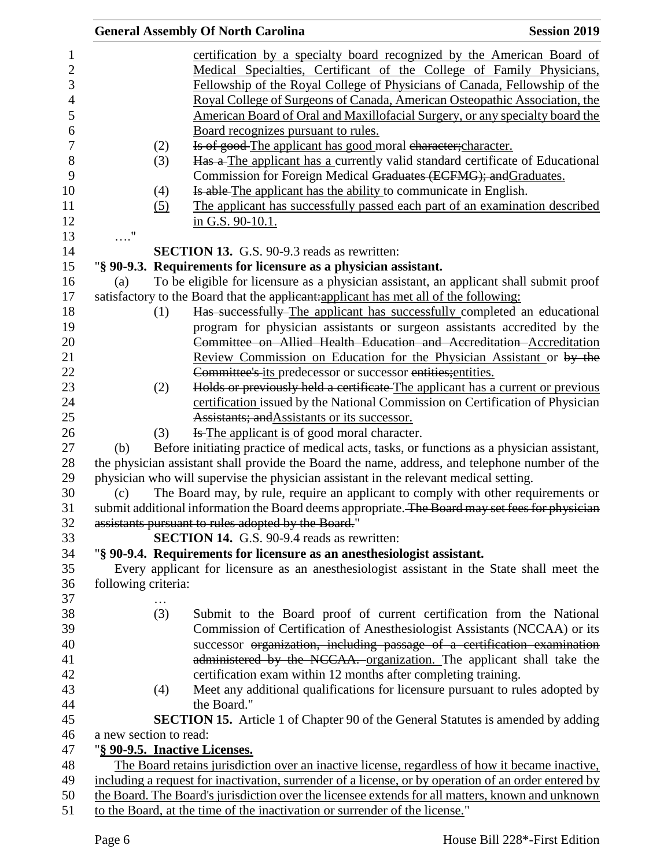|                               | <b>General Assembly Of North Carolina</b>                                                                                                                                       | <b>Session 2019</b> |
|-------------------------------|---------------------------------------------------------------------------------------------------------------------------------------------------------------------------------|---------------------|
|                               | certification by a specialty board recognized by the American Board of<br>Medical Specialties, Certificant of the College of Family Physicians,                                 |                     |
|                               | Fellowship of the Royal College of Physicians of Canada, Fellowship of the                                                                                                      |                     |
|                               | Royal College of Surgeons of Canada, American Osteopathic Association, the                                                                                                      |                     |
|                               | American Board of Oral and Maxillofacial Surgery, or any specialty board the                                                                                                    |                     |
| (2)                           | Board recognizes pursuant to rules.<br>Is of good-The applicant has good moral character; character.                                                                            |                     |
| (3)                           | Has a The applicant has a currently valid standard certificate of Educational                                                                                                   |                     |
|                               | Commission for Foreign Medical Graduates (ECFMG); and Graduates.                                                                                                                |                     |
| (4)                           | Is able The applicant has the ability to communicate in English.                                                                                                                |                     |
| (5)                           | The applicant has successfully passed each part of an examination described                                                                                                     |                     |
|                               | in G.S. 90-10.1.                                                                                                                                                                |                     |
| $\ldots$ "                    |                                                                                                                                                                                 |                     |
|                               | <b>SECTION 13.</b> G.S. 90-9.3 reads as rewritten:                                                                                                                              |                     |
|                               | "§ 90-9.3. Requirements for licensure as a physician assistant.                                                                                                                 |                     |
| (a)                           | To be eligible for licensure as a physician assistant, an applicant shall submit proof<br>satisfactory to the Board that the applicant: applicant has met all of the following: |                     |
| (1)                           | Has successfully-The applicant has successfully completed an educational                                                                                                        |                     |
|                               | program for physician assistants or surgeon assistants accredited by the                                                                                                        |                     |
|                               | Committee on Allied Health Education and Accreditation-Accreditation                                                                                                            |                     |
|                               | Review Commission on Education for the Physician Assistant or by the                                                                                                            |                     |
|                               | Committee's its predecessor or successor entities; entities.                                                                                                                    |                     |
| (2)                           | Holds or previously held a certificate-The applicant has a current or previous                                                                                                  |                     |
|                               | certification issued by the National Commission on Certification of Physician                                                                                                   |                     |
|                               | Assistants; and Assistants or its successor.                                                                                                                                    |                     |
| (3)                           | <b>Is The applicant is of good moral character.</b>                                                                                                                             |                     |
| (b)                           | Before initiating practice of medical acts, tasks, or functions as a physician assistant,                                                                                       |                     |
|                               | the physician assistant shall provide the Board the name, address, and telephone number of the                                                                                  |                     |
|                               | physician who will supervise the physician assistant in the relevant medical setting.                                                                                           |                     |
| (c)                           | The Board may, by rule, require an applicant to comply with other requirements or                                                                                               |                     |
|                               | submit additional information the Board deems appropriate. The Board may set fees for physician                                                                                 |                     |
|                               | assistants pursuant to rules adopted by the Board."                                                                                                                             |                     |
|                               | SECTION 14. G.S. 90-9.4 reads as rewritten:                                                                                                                                     |                     |
|                               | "§ 90-9.4. Requirements for licensure as an anesthesiologist assistant.                                                                                                         |                     |
|                               | Every applicant for licensure as an anesthesiologist assistant in the State shall meet the                                                                                      |                     |
| following criteria:           |                                                                                                                                                                                 |                     |
|                               |                                                                                                                                                                                 |                     |
| (3)                           | Submit to the Board proof of current certification from the National                                                                                                            |                     |
|                               | Commission of Certification of Anesthesiologist Assistants (NCCAA) or its                                                                                                       |                     |
|                               | successor organization, including passage of a certification examination                                                                                                        |                     |
|                               | administered by the NCCAA. organization. The applicant shall take the                                                                                                           |                     |
| (4)                           | certification exam within 12 months after completing training.<br>Meet any additional qualifications for licensure pursuant to rules adopted by                                 |                     |
|                               | the Board."                                                                                                                                                                     |                     |
|                               | <b>SECTION 15.</b> Article 1 of Chapter 90 of the General Statutes is amended by adding                                                                                         |                     |
| a new section to read:        |                                                                                                                                                                                 |                     |
| "§ 90-9.5. Inactive Licenses. |                                                                                                                                                                                 |                     |
|                               | The Board retains jurisdiction over an inactive license, regardless of how it became inactive,                                                                                  |                     |
|                               | including a request for inactivation, surrender of a license, or by operation of an order entered by                                                                            |                     |
|                               | the Board. The Board's jurisdiction over the licensee extends for all matters, known and unknown                                                                                |                     |
|                               | to the Board, at the time of the inactivation or surrender of the license."                                                                                                     |                     |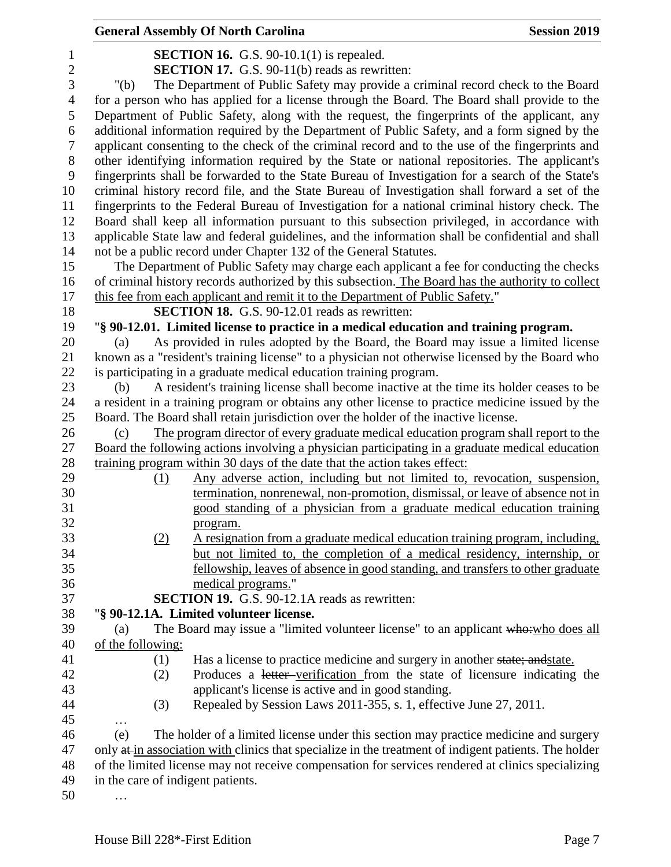|                  |                                   | <b>General Assembly Of North Carolina</b>                                                                                                                | <b>Session 2019</b> |
|------------------|-----------------------------------|----------------------------------------------------------------------------------------------------------------------------------------------------------|---------------------|
| 1                |                                   | <b>SECTION 16.</b> G.S. 90-10.1(1) is repealed.                                                                                                          |                     |
| $\boldsymbol{2}$ |                                   | <b>SECTION 17.</b> G.S. 90-11(b) reads as rewritten:                                                                                                     |                     |
| 3                | " $(b)$                           | The Department of Public Safety may provide a criminal record check to the Board                                                                         |                     |
| $\overline{4}$   |                                   | for a person who has applied for a license through the Board. The Board shall provide to the                                                             |                     |
| 5                |                                   | Department of Public Safety, along with the request, the fingerprints of the applicant, any                                                              |                     |
| 6                |                                   | additional information required by the Department of Public Safety, and a form signed by the                                                             |                     |
| $\tau$           |                                   | applicant consenting to the check of the criminal record and to the use of the fingerprints and                                                          |                     |
| $8\,$            |                                   | other identifying information required by the State or national repositories. The applicant's                                                            |                     |
| 9                |                                   | fingerprints shall be forwarded to the State Bureau of Investigation for a search of the State's                                                         |                     |
| 10               |                                   | criminal history record file, and the State Bureau of Investigation shall forward a set of the                                                           |                     |
| 11               |                                   | fingerprints to the Federal Bureau of Investigation for a national criminal history check. The                                                           |                     |
| 12               |                                   | Board shall keep all information pursuant to this subsection privileged, in accordance with                                                              |                     |
| 13               |                                   | applicable State law and federal guidelines, and the information shall be confidential and shall                                                         |                     |
| 14               |                                   | not be a public record under Chapter 132 of the General Statutes.                                                                                        |                     |
| 15               |                                   | The Department of Public Safety may charge each applicant a fee for conducting the checks                                                                |                     |
| 16               |                                   | of criminal history records authorized by this subsection. The Board has the authority to collect                                                        |                     |
| 17               |                                   | this fee from each applicant and remit it to the Department of Public Safety."                                                                           |                     |
| 18               |                                   | <b>SECTION 18.</b> G.S. 90-12.01 reads as rewritten:                                                                                                     |                     |
| 19               |                                   | "§ 90-12.01. Limited license to practice in a medical education and training program.                                                                    |                     |
| 20               | (a)                               | As provided in rules adopted by the Board, the Board may issue a limited license                                                                         |                     |
| 21               |                                   | known as a "resident's training license" to a physician not otherwise licensed by the Board who                                                          |                     |
| 22               |                                   | is participating in a graduate medical education training program.                                                                                       |                     |
| 23               | (b)                               | A resident's training license shall become inactive at the time its holder ceases to be                                                                  |                     |
| 24               |                                   | a resident in a training program or obtains any other license to practice medicine issued by the                                                         |                     |
| 25               |                                   | Board. The Board shall retain jurisdiction over the holder of the inactive license.                                                                      |                     |
| 26               | (c)                               | The program director of every graduate medical education program shall report to the                                                                     |                     |
| 27               |                                   | Board the following actions involving a physician participating in a graduate medical education                                                          |                     |
| 28               |                                   | training program within 30 days of the date that the action takes effect:                                                                                |                     |
| 29<br>30         | (1)                               | Any adverse action, including but not limited to, revocation, suspension,                                                                                |                     |
| 31               |                                   | termination, nonrenewal, non-promotion, dismissal, or leave of absence not in<br>good standing of a physician from a graduate medical education training |                     |
| 32               |                                   |                                                                                                                                                          |                     |
| 33               | (2)                               | program.<br>A resignation from a graduate medical education training program, including,                                                                 |                     |
| 34               |                                   | but not limited to, the completion of a medical residency, internship, or                                                                                |                     |
| 35               |                                   | fellowship, leaves of absence in good standing, and transfers to other graduate                                                                          |                     |
| 36               |                                   | medical programs."                                                                                                                                       |                     |
| 37               |                                   | <b>SECTION 19.</b> G.S. 90-12.1A reads as rewritten:                                                                                                     |                     |
| 38               |                                   | "§ 90-12.1A. Limited volunteer license.                                                                                                                  |                     |
| 39               | (a)                               | The Board may issue a "limited volunteer license" to an applicant who: who does all                                                                      |                     |
| 40               | of the following:                 |                                                                                                                                                          |                     |
| 41               | (1)                               | Has a license to practice medicine and surgery in another state; and state.                                                                              |                     |
| 42               | (2)                               | Produces a letter-verification from the state of licensure indicating the                                                                                |                     |
| 43               |                                   | applicant's license is active and in good standing.                                                                                                      |                     |
| 44               | (3)                               | Repealed by Session Laws 2011-355, s. 1, effective June 27, 2011.                                                                                        |                     |
| 45               | $\cdots$                          |                                                                                                                                                          |                     |
| 46               | (e)                               | The holder of a limited license under this section may practice medicine and surgery                                                                     |                     |
| 47               |                                   | only at in association with clinics that specialize in the treatment of indigent patients. The holder                                                    |                     |
| 48               |                                   | of the limited license may not receive compensation for services rendered at clinics specializing                                                        |                     |
| 49               | in the care of indigent patients. |                                                                                                                                                          |                     |
| 50               |                                   |                                                                                                                                                          |                     |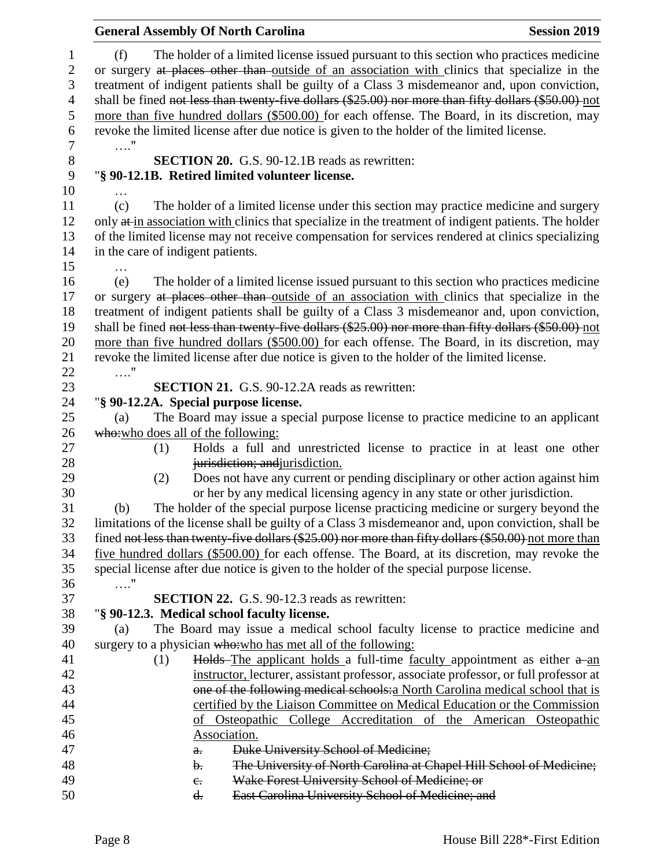| <b>General Assembly Of North Carolina</b>                                                                                                                                                                                                                                                                                                                                                                                                                                                                | <b>Session 2019</b> |
|----------------------------------------------------------------------------------------------------------------------------------------------------------------------------------------------------------------------------------------------------------------------------------------------------------------------------------------------------------------------------------------------------------------------------------------------------------------------------------------------------------|---------------------|
| The holder of a limited license issued pursuant to this section who practices medicine<br>(f)<br>or surgery at places other than outside of an association with clinics that specialize in the<br>treatment of indigent patients shall be guilty of a Class 3 misdemeanor and, upon conviction,<br>shall be fined not less than twenty-five dollars (\$25.00) nor more than fifty dollars (\$50.00) not<br>more than five hundred dollars (\$500.00) for each offense. The Board, in its discretion, may |                     |
| revoke the limited license after due notice is given to the holder of the limited license.<br>. "                                                                                                                                                                                                                                                                                                                                                                                                        |                     |
| <b>SECTION 20.</b> G.S. 90-12.1B reads as rewritten:                                                                                                                                                                                                                                                                                                                                                                                                                                                     |                     |
| "§ 90-12.1B. Retired limited volunteer license.                                                                                                                                                                                                                                                                                                                                                                                                                                                          |                     |
| $\ddotsc$                                                                                                                                                                                                                                                                                                                                                                                                                                                                                                |                     |
| The holder of a limited license under this section may practice medicine and surgery<br>(c)                                                                                                                                                                                                                                                                                                                                                                                                              |                     |
| only at in association with clinics that specialize in the treatment of indigent patients. The holder                                                                                                                                                                                                                                                                                                                                                                                                    |                     |
| of the limited license may not receive compensation for services rendered at clinics specializing                                                                                                                                                                                                                                                                                                                                                                                                        |                     |
| in the care of indigent patients.                                                                                                                                                                                                                                                                                                                                                                                                                                                                        |                     |
| .                                                                                                                                                                                                                                                                                                                                                                                                                                                                                                        |                     |
| The holder of a limited license issued pursuant to this section who practices medicine<br>(e)                                                                                                                                                                                                                                                                                                                                                                                                            |                     |
| or surgery at places other than outside of an association with clinics that specialize in the                                                                                                                                                                                                                                                                                                                                                                                                            |                     |
| treatment of indigent patients shall be guilty of a Class 3 misdemeanor and, upon conviction,                                                                                                                                                                                                                                                                                                                                                                                                            |                     |
| shall be fined not less than twenty-five dollars (\$25.00) nor more than fifty dollars (\$50.00) not                                                                                                                                                                                                                                                                                                                                                                                                     |                     |
| more than five hundred dollars (\$500.00) for each offense. The Board, in its discretion, may                                                                                                                                                                                                                                                                                                                                                                                                            |                     |
| revoke the limited license after due notice is given to the holder of the limited license.<br>. "                                                                                                                                                                                                                                                                                                                                                                                                        |                     |
| <b>SECTION 21.</b> G.S. 90-12.2A reads as rewritten:                                                                                                                                                                                                                                                                                                                                                                                                                                                     |                     |
| "§ 90-12.2A. Special purpose license.                                                                                                                                                                                                                                                                                                                                                                                                                                                                    |                     |
| The Board may issue a special purpose license to practice medicine to an applicant<br>(a)                                                                                                                                                                                                                                                                                                                                                                                                                |                     |
| who:who does all of the following:                                                                                                                                                                                                                                                                                                                                                                                                                                                                       |                     |
| Holds a full and unrestricted license to practice in at least one other<br>(1)                                                                                                                                                                                                                                                                                                                                                                                                                           |                     |
| jurisdiction; and jurisdiction.                                                                                                                                                                                                                                                                                                                                                                                                                                                                          |                     |
| Does not have any current or pending disciplinary or other action against him<br>(2)                                                                                                                                                                                                                                                                                                                                                                                                                     |                     |
| or her by any medical licensing agency in any state or other jurisdiction.                                                                                                                                                                                                                                                                                                                                                                                                                               |                     |
| The holder of the special purpose license practicing medicine or surgery beyond the<br>(b)                                                                                                                                                                                                                                                                                                                                                                                                               |                     |
| limitations of the license shall be guilty of a Class 3 misdemeanor and, upon conviction, shall be                                                                                                                                                                                                                                                                                                                                                                                                       |                     |
| fined not less than twenty five dollars (\$25.00) nor more than fifty dollars (\$50.00) not more than                                                                                                                                                                                                                                                                                                                                                                                                    |                     |
| five hundred dollars (\$500.00) for each offense. The Board, at its discretion, may revoke the                                                                                                                                                                                                                                                                                                                                                                                                           |                     |
| special license after due notice is given to the holder of the special purpose license.                                                                                                                                                                                                                                                                                                                                                                                                                  |                     |
| . "                                                                                                                                                                                                                                                                                                                                                                                                                                                                                                      |                     |
| <b>SECTION 22.</b> G.S. 90-12.3 reads as rewritten:                                                                                                                                                                                                                                                                                                                                                                                                                                                      |                     |
| "§ 90-12.3. Medical school faculty license.                                                                                                                                                                                                                                                                                                                                                                                                                                                              |                     |
| The Board may issue a medical school faculty license to practice medicine and<br>(a)                                                                                                                                                                                                                                                                                                                                                                                                                     |                     |
| surgery to a physician who: who has met all of the following:                                                                                                                                                                                                                                                                                                                                                                                                                                            |                     |
| Holds-The applicant holds a full-time faculty appointment as either a-an<br>(1)                                                                                                                                                                                                                                                                                                                                                                                                                          |                     |
| instructor, lecturer, assistant professor, associate professor, or full professor at                                                                                                                                                                                                                                                                                                                                                                                                                     |                     |
| one of the following medical schools: a North Carolina medical school that is                                                                                                                                                                                                                                                                                                                                                                                                                            |                     |
| certified by the Liaison Committee on Medical Education or the Commission<br>of Osteopathic College Accreditation of the American Osteopathic                                                                                                                                                                                                                                                                                                                                                            |                     |
| Association.                                                                                                                                                                                                                                                                                                                                                                                                                                                                                             |                     |
| Duke University School of Medicine;<br>$a_{\overline{r}}$                                                                                                                                                                                                                                                                                                                                                                                                                                                |                     |
| The University of North Carolina at Chapel Hill School of Medicine;<br>b.                                                                                                                                                                                                                                                                                                                                                                                                                                |                     |
| Wake Forest University School of Medicine; or<br>$e_{\cdot}$                                                                                                                                                                                                                                                                                                                                                                                                                                             |                     |
| East Carolina University School of Medicine; and<br>d.                                                                                                                                                                                                                                                                                                                                                                                                                                                   |                     |
|                                                                                                                                                                                                                                                                                                                                                                                                                                                                                                          |                     |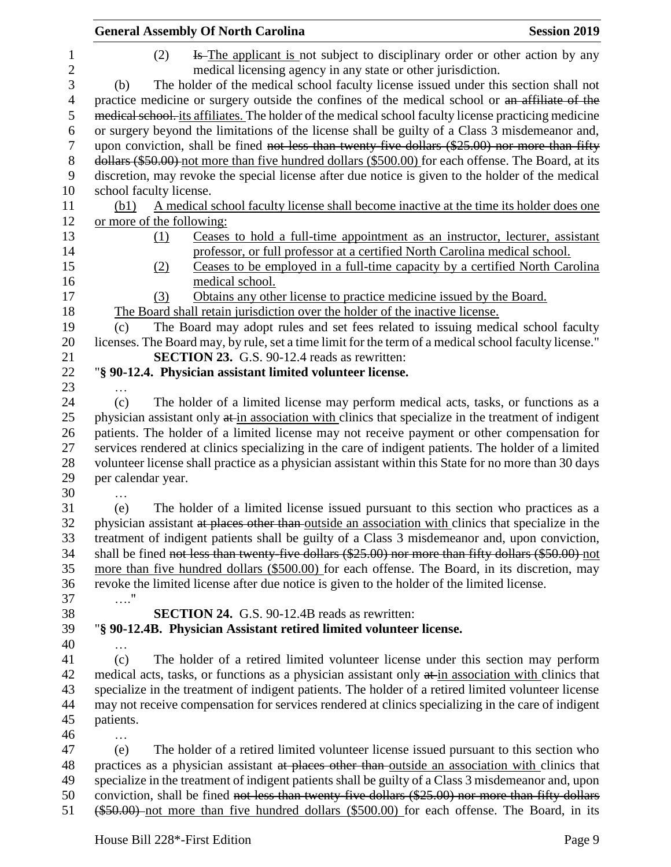| <b>General Assembly Of North Carolina</b>                                                                                                                                                                 | <b>Session 2019</b> |
|-----------------------------------------------------------------------------------------------------------------------------------------------------------------------------------------------------------|---------------------|
| Is The applicant is not subject to disciplinary order or other action by any<br>(2)                                                                                                                       |                     |
| medical licensing agency in any state or other jurisdiction.                                                                                                                                              |                     |
| The holder of the medical school faculty license issued under this section shall not<br>(b)                                                                                                               |                     |
| practice medicine or surgery outside the confines of the medical school or an affiliate of the                                                                                                            |                     |
| medical school, its affiliates. The holder of the medical school faculty license practicing medicine                                                                                                      |                     |
| or surgery beyond the limitations of the license shall be guilty of a Class 3 misdemeanor and,                                                                                                            |                     |
| upon conviction, shall be fined not less than twenty-five dollars (\$25.00) nor more than fifty                                                                                                           |                     |
| dollars (\$50.00) not more than five hundred dollars (\$500.00) for each offense. The Board, at its                                                                                                       |                     |
| discretion, may revoke the special license after due notice is given to the holder of the medical                                                                                                         |                     |
| school faculty license.                                                                                                                                                                                   |                     |
| A medical school faculty license shall become inactive at the time its holder does one<br>(b1)                                                                                                            |                     |
| or more of the following:                                                                                                                                                                                 |                     |
| Ceases to hold a full-time appointment as an instructor, lecturer, assistant<br>(1)                                                                                                                       |                     |
| professor, or full professor at a certified North Carolina medical school.                                                                                                                                |                     |
| Ceases to be employed in a full-time capacity by a certified North Carolina                                                                                                                               |                     |
| (2)                                                                                                                                                                                                       |                     |
| medical school.<br>Obtains any other license to practice medicine issued by the Board.<br>(3)                                                                                                             |                     |
| The Board shall retain jurisdiction over the holder of the inactive license.                                                                                                                              |                     |
| The Board may adopt rules and set fees related to issuing medical school faculty<br>(c)                                                                                                                   |                     |
| licenses. The Board may, by rule, set a time limit for the term of a medical school faculty license."                                                                                                     |                     |
| <b>SECTION 23.</b> G.S. 90-12.4 reads as rewritten:                                                                                                                                                       |                     |
| "§ 90-12.4. Physician assistant limited volunteer license.                                                                                                                                                |                     |
|                                                                                                                                                                                                           |                     |
| .<br>The holder of a limited license may perform medical acts, tasks, or functions as a<br>(c)                                                                                                            |                     |
| physician assistant only at in association with clinics that specialize in the treatment of indigent                                                                                                      |                     |
| patients. The holder of a limited license may not receive payment or other compensation for                                                                                                               |                     |
| services rendered at clinics specializing in the care of indigent patients. The holder of a limited                                                                                                       |                     |
| volunteer license shall practice as a physician assistant within this State for no more than 30 days                                                                                                      |                     |
| per calendar year.                                                                                                                                                                                        |                     |
|                                                                                                                                                                                                           |                     |
| .<br>The holder of a limited license issued pursuant to this section who practices as a<br>(e)                                                                                                            |                     |
| physician assistant at places other than outside an association with clinics that specialize in the                                                                                                       |                     |
| treatment of indigent patients shall be guilty of a Class 3 misdemeanor and, upon conviction,                                                                                                             |                     |
| shall be fined not less than twenty-five dollars (\$25.00) nor more than fifty dollars (\$50.00) not                                                                                                      |                     |
| more than five hundred dollars (\$500.00) for each offense. The Board, in its discretion, may                                                                                                             |                     |
| revoke the limited license after due notice is given to the holder of the limited license.                                                                                                                |                     |
| . "                                                                                                                                                                                                       |                     |
| <b>SECTION 24.</b> G.S. 90-12.4B reads as rewritten:                                                                                                                                                      |                     |
| "§ 90-12.4B. Physician Assistant retired limited volunteer license.                                                                                                                                       |                     |
|                                                                                                                                                                                                           |                     |
| The holder of a retired limited volunteer license under this section may perform<br>(c)                                                                                                                   |                     |
| medical acts, tasks, or functions as a physician assistant only at in association with clinics that                                                                                                       |                     |
| specialize in the treatment of indigent patients. The holder of a retired limited volunteer license                                                                                                       |                     |
| may not receive compensation for services rendered at clinics specializing in the care of indigent                                                                                                        |                     |
|                                                                                                                                                                                                           |                     |
| patients.                                                                                                                                                                                                 |                     |
| .<br>The holder of a retired limited volunteer license issued pursuant to this section who<br>(e)                                                                                                         |                     |
|                                                                                                                                                                                                           |                     |
| practices as a physician assistant at places other than outside an association with clinics that                                                                                                          |                     |
| specialize in the treatment of indigent patients shall be guilty of a Class 3 misdemeanor and, upon<br>conviction, shall be fined not less than twenty-five dollars (\$25.00) nor more than fifty dollars |                     |
|                                                                                                                                                                                                           |                     |
| (\$50.00) not more than five hundred dollars (\$500.00) for each offense. The Board, in its                                                                                                               |                     |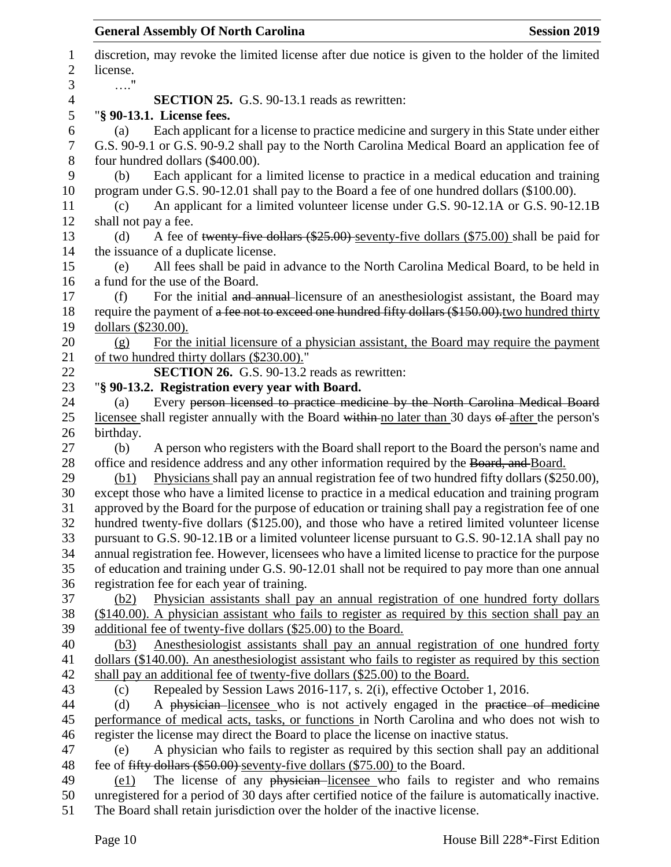| 1              | discretion, may revoke the limited license after due notice is given to the holder of the limited                                                                                              |
|----------------|------------------------------------------------------------------------------------------------------------------------------------------------------------------------------------------------|
| $\overline{2}$ | license.                                                                                                                                                                                       |
| 3              | $\ldots$ "                                                                                                                                                                                     |
| 4              | <b>SECTION 25.</b> G.S. 90-13.1 reads as rewritten:                                                                                                                                            |
| 5              | "§ 90-13.1. License fees.                                                                                                                                                                      |
| 6              | Each applicant for a license to practice medicine and surgery in this State under either<br>(a)                                                                                                |
| 7              | G.S. 90-9.1 or G.S. 90-9.2 shall pay to the North Carolina Medical Board an application fee of                                                                                                 |
| $8\,$<br>9     | four hundred dollars (\$400.00).                                                                                                                                                               |
|                | Each applicant for a limited license to practice in a medical education and training<br>(b)                                                                                                    |
| 10<br>11       | program under G.S. 90-12.01 shall pay to the Board a fee of one hundred dollars (\$100.00).<br>An applicant for a limited volunteer license under G.S. 90-12.1A or G.S. 90-12.1B<br>(c)        |
| 12             | shall not pay a fee.                                                                                                                                                                           |
| 13             | A fee of twenty-five dollars $(\$25.00)$ -seventy-five dollars $(\$75.00)$ shall be paid for<br>(d)                                                                                            |
| 14             | the issuance of a duplicate license.                                                                                                                                                           |
| 15             | All fees shall be paid in advance to the North Carolina Medical Board, to be held in<br>(e)                                                                                                    |
| 16             | a fund for the use of the Board.                                                                                                                                                               |
| 17             | For the initial and annual-licensure of an anesthesiologist assistant, the Board may<br>(f)                                                                                                    |
| 18             | require the payment of a fee not to exceed one hundred fifty dollars (\$150.00), two hundred thirty                                                                                            |
| 19             | dollars (\$230.00).                                                                                                                                                                            |
| 20             | For the initial licensure of a physician assistant, the Board may require the payment<br>(g)                                                                                                   |
| 21             | of two hundred thirty dollars (\$230.00)."                                                                                                                                                     |
| 22             | SECTION 26. G.S. 90-13.2 reads as rewritten:                                                                                                                                                   |
| 23             | "§ 90-13.2. Registration every year with Board.                                                                                                                                                |
| 24             | Every person licensed to practice medicine by the North Carolina Medical Board<br>(a)                                                                                                          |
| 25             | licensee shall register annually with the Board within no later than 30 days of after the person's                                                                                             |
| 26             | birthday.                                                                                                                                                                                      |
| 27             | A person who registers with the Board shall report to the Board the person's name and<br>(b)                                                                                                   |
| 28             | office and residence address and any other information required by the Board, and Board.                                                                                                       |
| 29             | Physicians shall pay an annual registration fee of two hundred fifty dollars (\$250.00),<br>(b1)                                                                                               |
| 30             | except those who have a limited license to practice in a medical education and training program                                                                                                |
| 31             | approved by the Board for the purpose of education or training shall pay a registration fee of one                                                                                             |
| 32             | hundred twenty-five dollars (\$125.00), and those who have a retired limited volunteer license                                                                                                 |
| 33             | pursuant to G.S. 90-12.1B or a limited volunteer license pursuant to G.S. 90-12.1A shall pay no                                                                                                |
| 34             | annual registration fee. However, licensees who have a limited license to practice for the purpose                                                                                             |
| 35             | of education and training under G.S. 90-12.01 shall not be required to pay more than one annual                                                                                                |
| 36<br>37       | registration fee for each year of training.                                                                                                                                                    |
| 38             | Physician assistants shall pay an annual registration of one hundred forty dollars<br>(b2)<br>(\$140.00). A physician assistant who fails to register as required by this section shall pay an |
| 39             | additional fee of twenty-five dollars (\$25.00) to the Board.                                                                                                                                  |
| 40             | Anesthesiologist assistants shall pay an annual registration of one hundred forty<br>(b3)                                                                                                      |
| 41             | dollars (\$140.00). An anesthesiologist assistant who fails to register as required by this section                                                                                            |
| 42             | shall pay an additional fee of twenty-five dollars (\$25.00) to the Board.                                                                                                                     |
| 43             | Repealed by Session Laws 2016-117, s. 2(i), effective October 1, 2016.<br>(c)                                                                                                                  |
| 44             | A physician licensee who is not actively engaged in the practice of medicine<br>(d)                                                                                                            |
| 45             | performance of medical acts, tasks, or functions in North Carolina and who does not wish to                                                                                                    |
| 46             | register the license may direct the Board to place the license on inactive status.                                                                                                             |
| 47             | A physician who fails to register as required by this section shall pay an additional<br>(e)                                                                                                   |
| 48             | fee of fifty dollars (\$50.00) seventy-five dollars (\$75.00) to the Board.                                                                                                                    |
| 49             | The license of any physician-licensee who fails to register and who remains<br>(e1)                                                                                                            |
| 50             | unregistered for a period of 30 days after certified notice of the failure is automatically inactive.                                                                                          |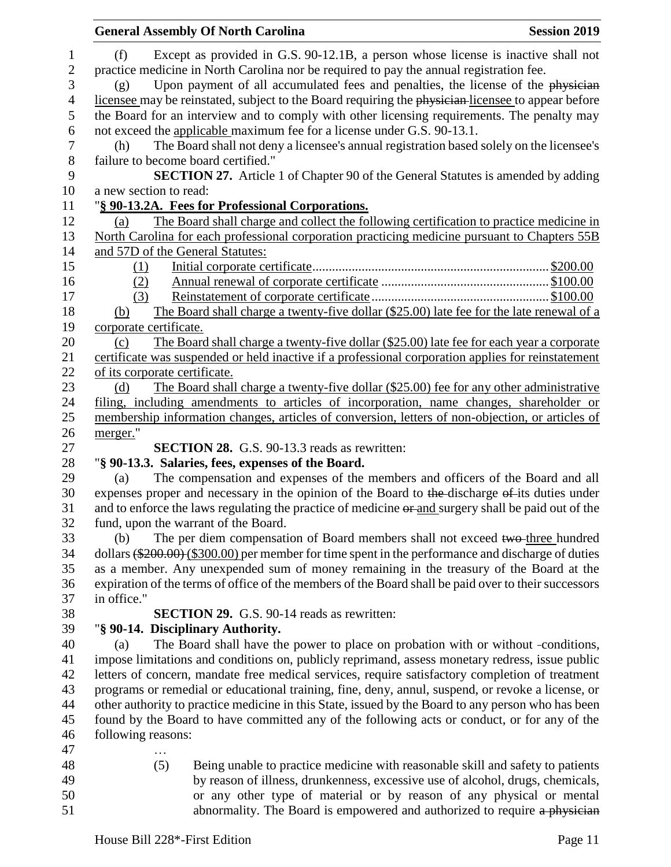|                  | <b>General Assembly Of North Carolina</b><br><b>Session 2019</b>                                     |  |  |  |  |  |
|------------------|------------------------------------------------------------------------------------------------------|--|--|--|--|--|
| $\mathbf{1}$     | Except as provided in G.S. 90-12.1B, a person whose license is inactive shall not<br>(f)             |  |  |  |  |  |
| $\overline{c}$   | practice medicine in North Carolina nor be required to pay the annual registration fee.              |  |  |  |  |  |
| 3                | Upon payment of all accumulated fees and penalties, the license of the physician<br>(g)              |  |  |  |  |  |
| 4                | licensee may be reinstated, subject to the Board requiring the physician-licensee to appear before   |  |  |  |  |  |
| 5                | the Board for an interview and to comply with other licensing requirements. The penalty may          |  |  |  |  |  |
| 6                | not exceed the applicable maximum fee for a license under G.S. 90-13.1.                              |  |  |  |  |  |
| $\boldsymbol{7}$ | The Board shall not deny a licensee's annual registration based solely on the licensee's<br>(h)      |  |  |  |  |  |
| $8\,$            | failure to become board certified."                                                                  |  |  |  |  |  |
| 9                | <b>SECTION 27.</b> Article 1 of Chapter 90 of the General Statutes is amended by adding              |  |  |  |  |  |
| 10               | a new section to read:                                                                               |  |  |  |  |  |
| 11               | "§ 90-13.2A. Fees for Professional Corporations.                                                     |  |  |  |  |  |
| 12               | The Board shall charge and collect the following certification to practice medicine in<br>(a)        |  |  |  |  |  |
| 13               | North Carolina for each professional corporation practicing medicine pursuant to Chapters 55B        |  |  |  |  |  |
| 14               | and 57D of the General Statutes:                                                                     |  |  |  |  |  |
| 15               | (1)                                                                                                  |  |  |  |  |  |
| 16               | (2)                                                                                                  |  |  |  |  |  |
| 17               | (3)                                                                                                  |  |  |  |  |  |
| 18               | The Board shall charge a twenty-five dollar (\$25.00) late fee for the late renewal of a<br>(b)      |  |  |  |  |  |
| 19               | corporate certificate.                                                                               |  |  |  |  |  |
| 20               | The Board shall charge a twenty-five dollar (\$25.00) late fee for each year a corporate<br>(c)      |  |  |  |  |  |
| 21               | certificate was suspended or held inactive if a professional corporation applies for reinstatement   |  |  |  |  |  |
| 22               | of its corporate certificate.                                                                        |  |  |  |  |  |
| 23               | The Board shall charge a twenty-five dollar (\$25.00) fee for any other administrative<br>(d)        |  |  |  |  |  |
| 24               | filing, including amendments to articles of incorporation, name changes, shareholder or              |  |  |  |  |  |
| 25               | membership information changes, articles of conversion, letters of non-objection, or articles of     |  |  |  |  |  |
| 26               | merger."                                                                                             |  |  |  |  |  |
| 27               | <b>SECTION 28.</b> G.S. 90-13.3 reads as rewritten:                                                  |  |  |  |  |  |
| 28               | "§ 90-13.3. Salaries, fees, expenses of the Board.                                                   |  |  |  |  |  |
| 29               | The compensation and expenses of the members and officers of the Board and all<br>(a)                |  |  |  |  |  |
| 30               | expenses proper and necessary in the opinion of the Board to the discharge of its duties under       |  |  |  |  |  |
| 31               | and to enforce the laws regulating the practice of medicine or and surgery shall be paid out of the  |  |  |  |  |  |
| 32               | fund, upon the warrant of the Board.                                                                 |  |  |  |  |  |
| 33               | The per diem compensation of Board members shall not exceed two-three hundred<br>(b)                 |  |  |  |  |  |
| 34               | dollars $(\$200.00)$ (\$300.00) per member for time spent in the performance and discharge of duties |  |  |  |  |  |
| 35               | as a member. Any unexpended sum of money remaining in the treasury of the Board at the               |  |  |  |  |  |
| 36               | expiration of the terms of office of the members of the Board shall be paid over to their successors |  |  |  |  |  |
| 37               | in office."                                                                                          |  |  |  |  |  |
| 38               | <b>SECTION 29.</b> G.S. 90-14 reads as rewritten:                                                    |  |  |  |  |  |
| 39               | "§ 90-14. Disciplinary Authority.                                                                    |  |  |  |  |  |
| 40               | The Board shall have the power to place on probation with or without -conditions,<br>(a)             |  |  |  |  |  |
| 41               | impose limitations and conditions on, publicly reprimand, assess monetary redress, issue public      |  |  |  |  |  |
| 42               | letters of concern, mandate free medical services, require satisfactory completion of treatment      |  |  |  |  |  |
| 43               | programs or remedial or educational training, fine, deny, annul, suspend, or revoke a license, or    |  |  |  |  |  |
| 44               | other authority to practice medicine in this State, issued by the Board to any person who has been   |  |  |  |  |  |
| 45               | found by the Board to have committed any of the following acts or conduct, or for any of the         |  |  |  |  |  |
| 46               | following reasons:                                                                                   |  |  |  |  |  |
| 47               |                                                                                                      |  |  |  |  |  |
| 48               | (5)<br>Being unable to practice medicine with reasonable skill and safety to patients                |  |  |  |  |  |
| 49               | by reason of illness, drunkenness, excessive use of alcohol, drugs, chemicals,                       |  |  |  |  |  |
| 50               | or any other type of material or by reason of any physical or mental                                 |  |  |  |  |  |
| 51               | abnormality. The Board is empowered and authorized to require a physician                            |  |  |  |  |  |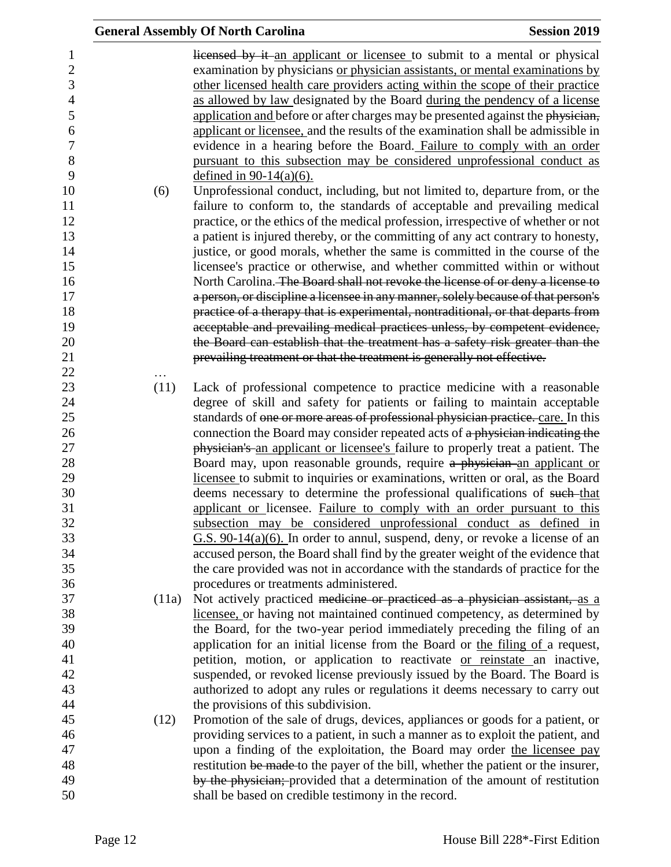|       | <b>General Assembly Of North Carolina</b>                                                                                                                            | <b>Session 2019</b> |
|-------|----------------------------------------------------------------------------------------------------------------------------------------------------------------------|---------------------|
|       | licensed by it an applicant or licensee to submit to a mental or physical                                                                                            |                     |
|       | examination by physicians or physician assistants, or mental examinations by                                                                                         |                     |
|       | other licensed health care providers acting within the scope of their practice                                                                                       |                     |
|       | as allowed by law designated by the Board during the pendency of a license                                                                                           |                     |
|       | application and before or after charges may be presented against the physician,                                                                                      |                     |
|       | applicant or licensee, and the results of the examination shall be admissible in                                                                                     |                     |
|       | evidence in a hearing before the Board. Failure to comply with an order                                                                                              |                     |
|       | pursuant to this subsection may be considered unprofessional conduct as                                                                                              |                     |
|       | defined in $90-14(a)(6)$ .                                                                                                                                           |                     |
| (6)   | Unprofessional conduct, including, but not limited to, departure from, or the                                                                                        |                     |
|       | failure to conform to, the standards of acceptable and prevailing medical                                                                                            |                     |
|       | practice, or the ethics of the medical profession, irrespective of whether or not<br>a patient is injured thereby, or the committing of any act contrary to honesty, |                     |
|       | justice, or good morals, whether the same is committed in the course of the                                                                                          |                     |
|       | licensee's practice or otherwise, and whether committed within or without                                                                                            |                     |
|       | North Carolina. The Board shall not revoke the license of or deny a license to                                                                                       |                     |
|       | a person, or discipline a licensee in any manner, solely because of that person's                                                                                    |                     |
|       | practice of a therapy that is experimental, nontraditional, or that departs from                                                                                     |                     |
|       | acceptable and prevailing medical practices unless, by competent evidence,                                                                                           |                     |
|       | the Board can establish that the treatment has a safety risk greater than the                                                                                        |                     |
|       | prevailing treatment or that the treatment is generally not effective.                                                                                               |                     |
|       |                                                                                                                                                                      |                     |
| (11)  | Lack of professional competence to practice medicine with a reasonable                                                                                               |                     |
|       | degree of skill and safety for patients or failing to maintain acceptable                                                                                            |                     |
|       | standards of one or more areas of professional physician practice. care. In this                                                                                     |                     |
|       | connection the Board may consider repeated acts of a physician indicating the                                                                                        |                     |
|       | physician's an applicant or licensee's failure to properly treat a patient. The                                                                                      |                     |
|       | Board may, upon reasonable grounds, require a physician an applicant or                                                                                              |                     |
|       | licensee to submit to inquiries or examinations, written or oral, as the Board                                                                                       |                     |
|       | deems necessary to determine the professional qualifications of such-that                                                                                            |                     |
|       | applicant or licensee. Failure to comply with an order pursuant to this                                                                                              |                     |
|       | subsection may be considered unprofessional conduct as defined in                                                                                                    |                     |
|       | $G.S. 90-14(a)(6)$ . In order to annul, suspend, deny, or revoke a license of an                                                                                     |                     |
|       | accused person, the Board shall find by the greater weight of the evidence that                                                                                      |                     |
|       | the care provided was not in accordance with the standards of practice for the                                                                                       |                     |
|       | procedures or treatments administered.                                                                                                                               |                     |
| (11a) | Not actively practiced medicine or practiced as a physician assistant, as a                                                                                          |                     |
|       | licensee, or having not maintained continued competency, as determined by                                                                                            |                     |
|       | the Board, for the two-year period immediately preceding the filing of an<br>application for an initial license from the Board or the filing of a request,           |                     |
|       | petition, motion, or application to reactivate or reinstate an inactive,                                                                                             |                     |
|       | suspended, or revoked license previously issued by the Board. The Board is                                                                                           |                     |
|       | authorized to adopt any rules or regulations it deems necessary to carry out                                                                                         |                     |
|       | the provisions of this subdivision.                                                                                                                                  |                     |
| (12)  | Promotion of the sale of drugs, devices, appliances or goods for a patient, or                                                                                       |                     |
|       | providing services to a patient, in such a manner as to exploit the patient, and                                                                                     |                     |
|       | upon a finding of the exploitation, the Board may order the licensee pay                                                                                             |                     |
|       | restitution be made to the payer of the bill, whether the patient or the insurer,                                                                                    |                     |
|       | by the physician; provided that a determination of the amount of restitution                                                                                         |                     |
|       | shall be based on credible testimony in the record.                                                                                                                  |                     |
|       |                                                                                                                                                                      |                     |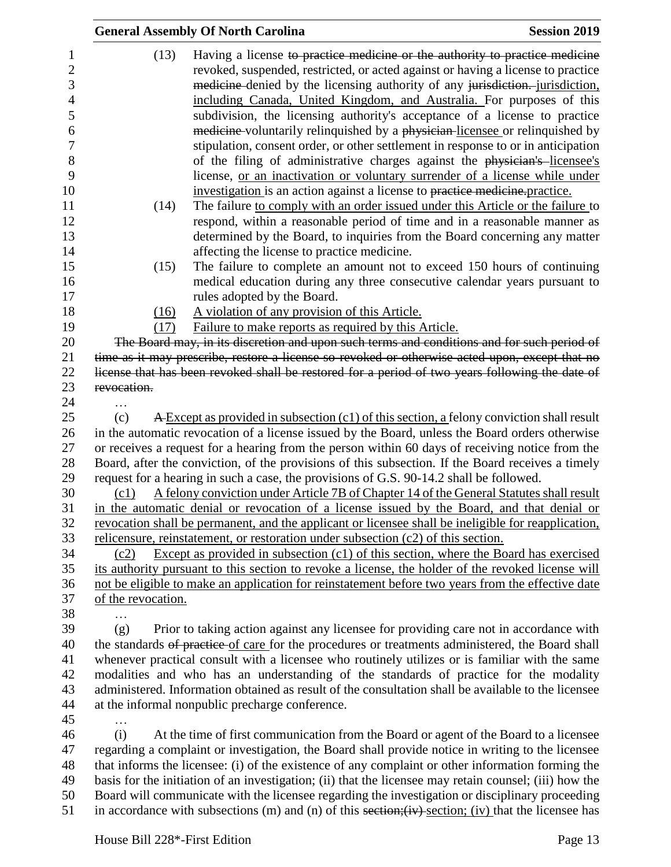|                    | <b>General Assembly Of North Carolina</b>                                                                                                                                                                                                                                                                                                                                                                                                                                                                                                                                                                                                                                                                                                                                                                                                                                                                                                                                                | <b>Session 2019</b> |
|--------------------|------------------------------------------------------------------------------------------------------------------------------------------------------------------------------------------------------------------------------------------------------------------------------------------------------------------------------------------------------------------------------------------------------------------------------------------------------------------------------------------------------------------------------------------------------------------------------------------------------------------------------------------------------------------------------------------------------------------------------------------------------------------------------------------------------------------------------------------------------------------------------------------------------------------------------------------------------------------------------------------|---------------------|
| (13)<br>(14)       | Having a license to practice medicine or the authority to practice medicine<br>revoked, suspended, restricted, or acted against or having a license to practice<br>medicine-denied by the licensing authority of any jurisdiction. jurisdiction,<br>including Canada, United Kingdom, and Australia. For purposes of this<br>subdivision, the licensing authority's acceptance of a license to practice<br>medicine-voluntarily relinquished by a physician-licensee or relinquished by<br>stipulation, consent order, or other settlement in response to or in anticipation<br>of the filing of administrative charges against the physician's licensee's<br>license, or an inactivation or voluntary surrender of a license while under<br>investigation is an action against a license to practice medicine practice.<br>The failure to comply with an order issued under this Article or the failure to<br>respond, within a reasonable period of time and in a reasonable manner as |                     |
|                    | determined by the Board, to inquiries from the Board concerning any matter                                                                                                                                                                                                                                                                                                                                                                                                                                                                                                                                                                                                                                                                                                                                                                                                                                                                                                               |                     |
|                    | affecting the license to practice medicine.                                                                                                                                                                                                                                                                                                                                                                                                                                                                                                                                                                                                                                                                                                                                                                                                                                                                                                                                              |                     |
| (15)               | The failure to complete an amount not to exceed 150 hours of continuing<br>medical education during any three consecutive calendar years pursuant to<br>rules adopted by the Board.                                                                                                                                                                                                                                                                                                                                                                                                                                                                                                                                                                                                                                                                                                                                                                                                      |                     |
| (16)               | A violation of any provision of this Article.                                                                                                                                                                                                                                                                                                                                                                                                                                                                                                                                                                                                                                                                                                                                                                                                                                                                                                                                            |                     |
| (17)               | Failure to make reports as required by this Article.                                                                                                                                                                                                                                                                                                                                                                                                                                                                                                                                                                                                                                                                                                                                                                                                                                                                                                                                     |                     |
|                    | The Board may, in its discretion and upon such terms and conditions and for such period of<br>time as it may prescribe, restore a license so revoked or otherwise acted upon, except that no                                                                                                                                                                                                                                                                                                                                                                                                                                                                                                                                                                                                                                                                                                                                                                                             |                     |
|                    | license that has been revoked shall be restored for a period of two years following the date of                                                                                                                                                                                                                                                                                                                                                                                                                                                                                                                                                                                                                                                                                                                                                                                                                                                                                          |                     |
| revocation.        |                                                                                                                                                                                                                                                                                                                                                                                                                                                                                                                                                                                                                                                                                                                                                                                                                                                                                                                                                                                          |                     |
| $\cdots$           |                                                                                                                                                                                                                                                                                                                                                                                                                                                                                                                                                                                                                                                                                                                                                                                                                                                                                                                                                                                          |                     |
| (c)                | A Except as provided in subsection (c1) of this section, a felony conviction shall result                                                                                                                                                                                                                                                                                                                                                                                                                                                                                                                                                                                                                                                                                                                                                                                                                                                                                                |                     |
|                    | in the automatic revocation of a license issued by the Board, unless the Board orders otherwise                                                                                                                                                                                                                                                                                                                                                                                                                                                                                                                                                                                                                                                                                                                                                                                                                                                                                          |                     |
|                    | or receives a request for a hearing from the person within 60 days of receiving notice from the                                                                                                                                                                                                                                                                                                                                                                                                                                                                                                                                                                                                                                                                                                                                                                                                                                                                                          |                     |
|                    | Board, after the conviction, of the provisions of this subsection. If the Board receives a timely                                                                                                                                                                                                                                                                                                                                                                                                                                                                                                                                                                                                                                                                                                                                                                                                                                                                                        |                     |
|                    | request for a hearing in such a case, the provisions of G.S. 90-14.2 shall be followed.                                                                                                                                                                                                                                                                                                                                                                                                                                                                                                                                                                                                                                                                                                                                                                                                                                                                                                  |                     |
| (c1)               | A felony conviction under Article 7B of Chapter 14 of the General Statutes shall result                                                                                                                                                                                                                                                                                                                                                                                                                                                                                                                                                                                                                                                                                                                                                                                                                                                                                                  |                     |
|                    | in the automatic denial or revocation of a license issued by the Board, and that denial or                                                                                                                                                                                                                                                                                                                                                                                                                                                                                                                                                                                                                                                                                                                                                                                                                                                                                               |                     |
|                    | revocation shall be permanent, and the applicant or licensee shall be ineligible for reapplication,                                                                                                                                                                                                                                                                                                                                                                                                                                                                                                                                                                                                                                                                                                                                                                                                                                                                                      |                     |
|                    | relicensure, reinstatement, or restoration under subsection $(c2)$ of this section.                                                                                                                                                                                                                                                                                                                                                                                                                                                                                                                                                                                                                                                                                                                                                                                                                                                                                                      |                     |
| (c2)               | Except as provided in subsection $(c1)$ of this section, where the Board has exercised                                                                                                                                                                                                                                                                                                                                                                                                                                                                                                                                                                                                                                                                                                                                                                                                                                                                                                   |                     |
|                    | its authority pursuant to this section to revoke a license, the holder of the revoked license will                                                                                                                                                                                                                                                                                                                                                                                                                                                                                                                                                                                                                                                                                                                                                                                                                                                                                       |                     |
| of the revocation. | not be eligible to make an application for reinstatement before two years from the effective date                                                                                                                                                                                                                                                                                                                                                                                                                                                                                                                                                                                                                                                                                                                                                                                                                                                                                        |                     |
|                    |                                                                                                                                                                                                                                                                                                                                                                                                                                                                                                                                                                                                                                                                                                                                                                                                                                                                                                                                                                                          |                     |
| (g)                | Prior to taking action against any licensee for providing care not in accordance with                                                                                                                                                                                                                                                                                                                                                                                                                                                                                                                                                                                                                                                                                                                                                                                                                                                                                                    |                     |
|                    | the standards of practice of care for the procedures or treatments administered, the Board shall                                                                                                                                                                                                                                                                                                                                                                                                                                                                                                                                                                                                                                                                                                                                                                                                                                                                                         |                     |
|                    | whenever practical consult with a licensee who routinely utilizes or is familiar with the same                                                                                                                                                                                                                                                                                                                                                                                                                                                                                                                                                                                                                                                                                                                                                                                                                                                                                           |                     |
|                    | modalities and who has an understanding of the standards of practice for the modality                                                                                                                                                                                                                                                                                                                                                                                                                                                                                                                                                                                                                                                                                                                                                                                                                                                                                                    |                     |
|                    | administered. Information obtained as result of the consultation shall be available to the licensee                                                                                                                                                                                                                                                                                                                                                                                                                                                                                                                                                                                                                                                                                                                                                                                                                                                                                      |                     |
|                    | at the informal nonpublic precharge conference.                                                                                                                                                                                                                                                                                                                                                                                                                                                                                                                                                                                                                                                                                                                                                                                                                                                                                                                                          |                     |
|                    |                                                                                                                                                                                                                                                                                                                                                                                                                                                                                                                                                                                                                                                                                                                                                                                                                                                                                                                                                                                          |                     |
| (i)                | At the time of first communication from the Board or agent of the Board to a licensee                                                                                                                                                                                                                                                                                                                                                                                                                                                                                                                                                                                                                                                                                                                                                                                                                                                                                                    |                     |
|                    | regarding a complaint or investigation, the Board shall provide notice in writing to the licensee                                                                                                                                                                                                                                                                                                                                                                                                                                                                                                                                                                                                                                                                                                                                                                                                                                                                                        |                     |
|                    | that informs the licensee: (i) of the existence of any complaint or other information forming the                                                                                                                                                                                                                                                                                                                                                                                                                                                                                                                                                                                                                                                                                                                                                                                                                                                                                        |                     |
|                    | basis for the initiation of an investigation; (ii) that the licensee may retain counsel; (iii) how the                                                                                                                                                                                                                                                                                                                                                                                                                                                                                                                                                                                                                                                                                                                                                                                                                                                                                   |                     |
|                    | Board will communicate with the licensee regarding the investigation or disciplinary proceeding                                                                                                                                                                                                                                                                                                                                                                                                                                                                                                                                                                                                                                                                                                                                                                                                                                                                                          |                     |
|                    | in accordance with subsections (m) and (n) of this section; (iv) section; (iv) that the licensee has                                                                                                                                                                                                                                                                                                                                                                                                                                                                                                                                                                                                                                                                                                                                                                                                                                                                                     |                     |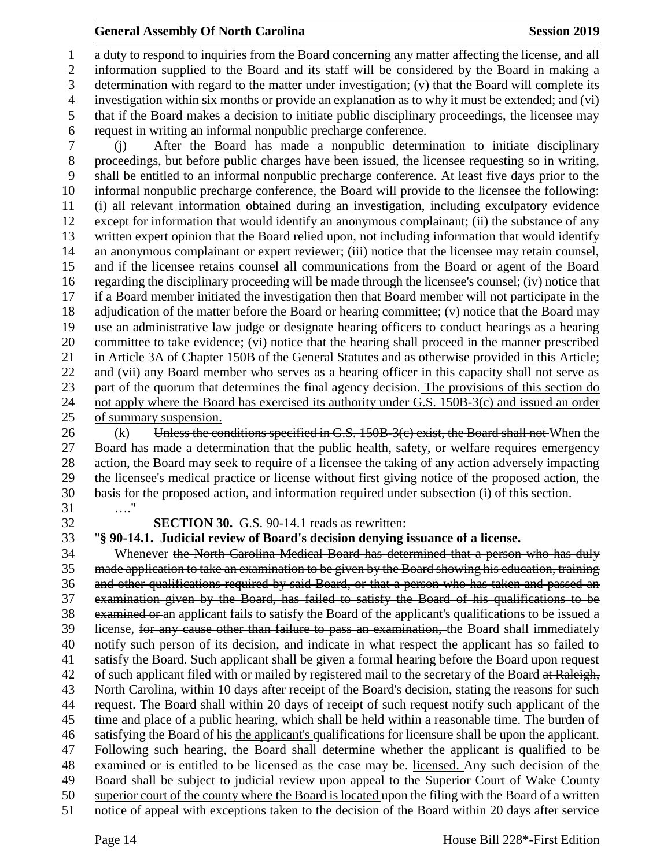#### **General Assembly Of North Carolina Session 2019 Session 2019**

 a duty to respond to inquiries from the Board concerning any matter affecting the license, and all information supplied to the Board and its staff will be considered by the Board in making a determination with regard to the matter under investigation; (v) that the Board will complete its investigation within six months or provide an explanation as to why it must be extended; and (vi) that if the Board makes a decision to initiate public disciplinary proceedings, the licensee may request in writing an informal nonpublic precharge conference.

 (j) After the Board has made a nonpublic determination to initiate disciplinary proceedings, but before public charges have been issued, the licensee requesting so in writing, shall be entitled to an informal nonpublic precharge conference. At least five days prior to the informal nonpublic precharge conference, the Board will provide to the licensee the following: (i) all relevant information obtained during an investigation, including exculpatory evidence except for information that would identify an anonymous complainant; (ii) the substance of any written expert opinion that the Board relied upon, not including information that would identify an anonymous complainant or expert reviewer; (iii) notice that the licensee may retain counsel, and if the licensee retains counsel all communications from the Board or agent of the Board regarding the disciplinary proceeding will be made through the licensee's counsel; (iv) notice that if a Board member initiated the investigation then that Board member will not participate in the adjudication of the matter before the Board or hearing committee; (v) notice that the Board may use an administrative law judge or designate hearing officers to conduct hearings as a hearing committee to take evidence; (vi) notice that the hearing shall proceed in the manner prescribed in Article 3A of Chapter 150B of the General Statutes and as otherwise provided in this Article; and (vii) any Board member who serves as a hearing officer in this capacity shall not serve as part of the quorum that determines the final agency decision. The provisions of this section do 24 not apply where the Board has exercised its authority under G.S. 150B-3(c) and issued an order of summary suspension.

26 (k) Unless the conditions specified in G.S. 150B-3(c) exist, the Board shall not When the Board has made a determination that the public health, safety, or welfare requires emergency action, the Board may seek to require of a licensee the taking of any action adversely impacting the licensee's medical practice or license without first giving notice of the proposed action, the basis for the proposed action, and information required under subsection (i) of this section. …."

**SECTION 30.** G.S. 90-14.1 reads as rewritten:

"**§ 90-14.1. Judicial review of Board's decision denying issuance of a license.**

 Whenever the North Carolina Medical Board has determined that a person who has duly made application to take an examination to be given by the Board showing his education, training and other qualifications required by said Board, or that a person who has taken and passed an examination given by the Board, has failed to satisfy the Board of his qualifications to be examined or an applicant fails to satisfy the Board of the applicant's qualifications to be issued a license, for any cause other than failure to pass an examination, the Board shall immediately notify such person of its decision, and indicate in what respect the applicant has so failed to satisfy the Board. Such applicant shall be given a formal hearing before the Board upon request 42 of such applicant filed with or mailed by registered mail to the secretary of the Board at Raleigh, 43 North Carolina, within 10 days after receipt of the Board's decision, stating the reasons for such request. The Board shall within 20 days of receipt of such request notify such applicant of the time and place of a public hearing, which shall be held within a reasonable time. The burden of 46 satisfying the Board of his the applicant's qualifications for licensure shall be upon the applicant. 47 Following such hearing, the Board shall determine whether the applicant is qualified to be 48 examined or is entitled to be licensed as the case may be. licensed. Any such decision of the 49 Board shall be subject to judicial review upon appeal to the Superior Court of Wake County superior court of the county where the Board is located upon the filing with the Board of a written notice of appeal with exceptions taken to the decision of the Board within 20 days after service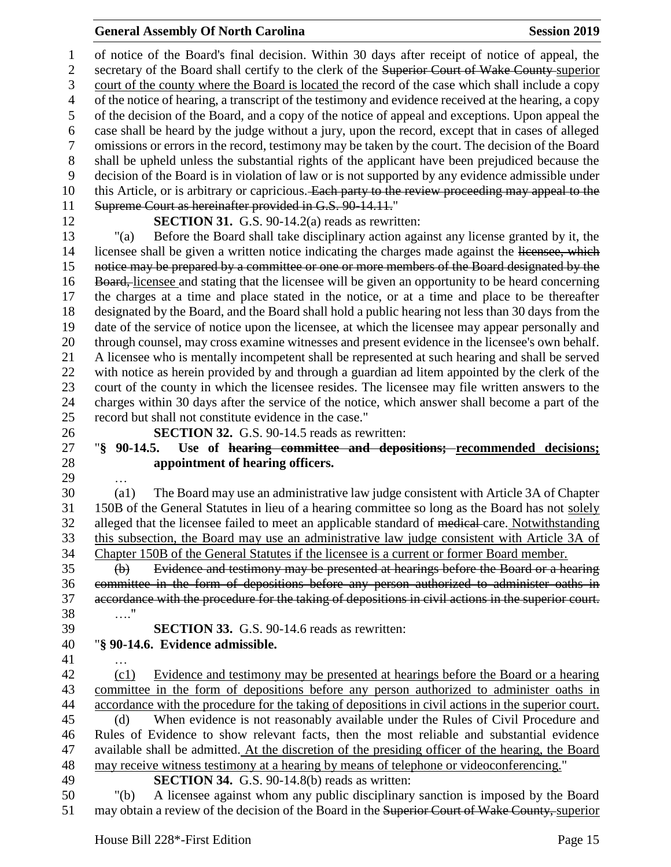#### **General Assembly Of North Carolina Session 2019 Session 2019**

 of notice of the Board's final decision. Within 30 days after receipt of notice of appeal, the 2 secretary of the Board shall certify to the clerk of the Superior Court of Wake County-superior court of the county where the Board is located the record of the case which shall include a copy of the notice of hearing, a transcript of the testimony and evidence received at the hearing, a copy of the decision of the Board, and a copy of the notice of appeal and exceptions. Upon appeal the case shall be heard by the judge without a jury, upon the record, except that in cases of alleged omissions or errors in the record, testimony may be taken by the court. The decision of the Board shall be upheld unless the substantial rights of the applicant have been prejudiced because the decision of the Board is in violation of law or is not supported by any evidence admissible under 10 this Article, or is arbitrary or capricious. Each party to the review proceeding may appeal to the Supreme Court as hereinafter provided in G.S. 90-14.11."

**SECTION 31.** G.S. 90-14.2(a) reads as rewritten:

 "(a) Before the Board shall take disciplinary action against any license granted by it, the 14 licensee shall be given a written notice indicating the charges made against the licensee, which 15 notice may be prepared by a committee or one or more members of the Board designated by the 16 Board, licensee and stating that the licensee will be given an opportunity to be heard concerning the charges at a time and place stated in the notice, or at a time and place to be thereafter designated by the Board, and the Board shall hold a public hearing not less than 30 days from the date of the service of notice upon the licensee, at which the licensee may appear personally and through counsel, may cross examine witnesses and present evidence in the licensee's own behalf. A licensee who is mentally incompetent shall be represented at such hearing and shall be served with notice as herein provided by and through a guardian ad litem appointed by the clerk of the court of the county in which the licensee resides. The licensee may file written answers to the charges within 30 days after the service of the notice, which answer shall become a part of the record but shall not constitute evidence in the case."

**SECTION 32.** G.S. 90-14.5 reads as rewritten:

# "**§ 90-14.5. Use of hearing committee and depositions; recommended decisions; appointment of hearing officers.**

…

 (a1) The Board may use an administrative law judge consistent with Article 3A of Chapter 150B of the General Statutes in lieu of a hearing committee so long as the Board has not solely 32 alleged that the licensee failed to meet an applicable standard of medical-care. Notwithstanding this subsection, the Board may use an administrative law judge consistent with Article 3A of Chapter 150B of the General Statutes if the licensee is a current or former Board member.

 (b) Evidence and testimony may be presented at hearings before the Board or a hearing committee in the form of depositions before any person authorized to administer oaths in accordance with the procedure for the taking of depositions in civil actions in the superior court. …." **SECTION 33.** G.S. 90-14.6 reads as rewritten:

# "**§ 90-14.6. Evidence admissible.**

…

 (c1) Evidence and testimony may be presented at hearings before the Board or a hearing committee in the form of depositions before any person authorized to administer oaths in accordance with the procedure for the taking of depositions in civil actions in the superior court. (d) When evidence is not reasonably available under the Rules of Civil Procedure and Rules of Evidence to show relevant facts, then the most reliable and substantial evidence available shall be admitted. At the discretion of the presiding officer of the hearing, the Board

may receive witness testimony at a hearing by means of telephone or videoconferencing."

**SECTION 34.** G.S. 90-14.8(b) reads as written:

 "(b) A licensee against whom any public disciplinary sanction is imposed by the Board 51 may obtain a review of the decision of the Board in the Superior Court of Wake County, superior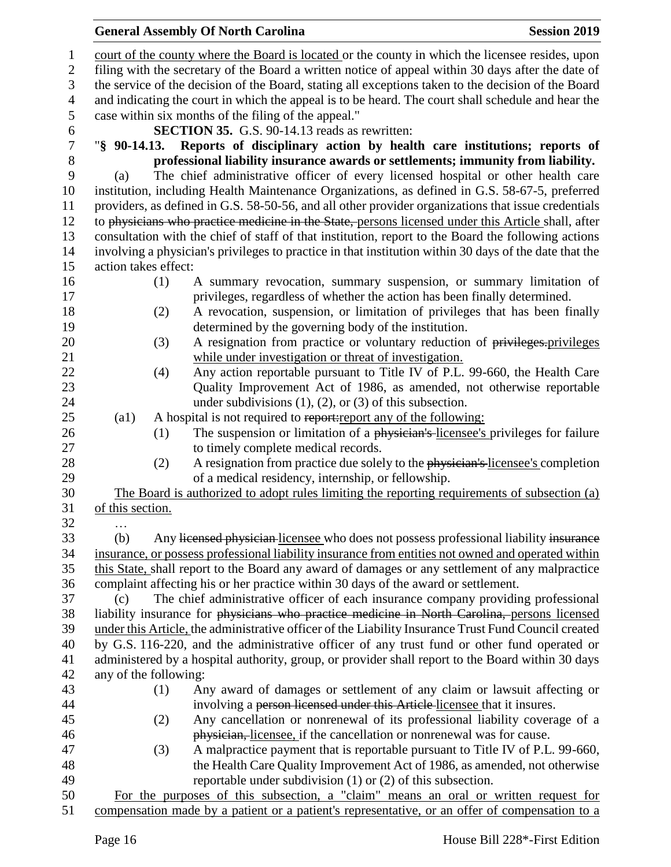### court of the county where the Board is located or the county in which the licensee resides, upon filing with the secretary of the Board a written notice of appeal within 30 days after the date of the service of the decision of the Board, stating all exceptions taken to the decision of the Board and indicating the court in which the appeal is to be heard. The court shall schedule and hear the case within six months of the filing of the appeal." **SECTION 35.** G.S. 90-14.13 reads as rewritten: "**§ 90-14.13. Reports of disciplinary action by health care institutions; reports of**  8 **professional liability insurance awards or settlements; immunity from liability.**<br>
9 (a) The chief administrative officer of every licensed hospital or other health care (a) The chief administrative officer of every licensed hospital or other health care institution, including Health Maintenance Organizations, as defined in G.S. 58-67-5, preferred providers, as defined in G.S. 58-50-56, and all other provider organizations that issue credentials 12 to physicians who practice medicine in the State, persons licensed under this Article shall, after consultation with the chief of staff of that institution, report to the Board the following actions involving a physician's privileges to practice in that institution within 30 days of the date that the action takes effect: (1) A summary revocation, summary suspension, or summary limitation of privileges, regardless of whether the action has been finally determined. (2) A revocation, suspension, or limitation of privileges that has been finally determined by the governing body of the institution. 20 (3) A resignation from practice or voluntary reduction of privileges.privileges while under investigation or threat of investigation. (4) Any action reportable pursuant to Title IV of P.L. 99-660, the Health Care Quality Improvement Act of 1986, as amended, not otherwise reportable 24 under subdivisions (1), (2), or (3) of this subsection. 25 (a1) A hospital is not required to report: report any of the following: 26 (1) The suspension or limitation of a physician's licensee's privileges for failure to timely complete medical records. 28 (2) A resignation from practice due solely to the physician's licensee's completion of a medical residency, internship, or fellowship. The Board is authorized to adopt rules limiting the reporting requirements of subsection (a) of this section. … (b) Any licensed physician licensee who does not possess professional liability insurance insurance, or possess professional liability insurance from entities not owned and operated within this State, shall report to the Board any award of damages or any settlement of any malpractice complaint affecting his or her practice within 30 days of the award or settlement. (c) The chief administrative officer of each insurance company providing professional liability insurance for physicians who practice medicine in North Carolina, persons licensed under this Article, the administrative officer of the Liability Insurance Trust Fund Council created by G.S. 116-220, and the administrative officer of any trust fund or other fund operated or administered by a hospital authority, group, or provider shall report to the Board within 30 days any of the following: (1) Any award of damages or settlement of any claim or lawsuit affecting or involving a person licensed under this Article licensee that it insures. (2) Any cancellation or nonrenewal of its professional liability coverage of a physician, licensee, if the cancellation or nonrenewal was for cause. (3) A malpractice payment that is reportable pursuant to Title IV of P.L. 99-660, the Health Care Quality Improvement Act of 1986, as amended, not otherwise reportable under subdivision (1) or (2) of this subsection. For the purposes of this subsection, a "claim" means an oral or written request for compensation made by a patient or a patient's representative, or an offer of compensation to a

**General Assembly Of North Carolina Session 2019 Session 2019**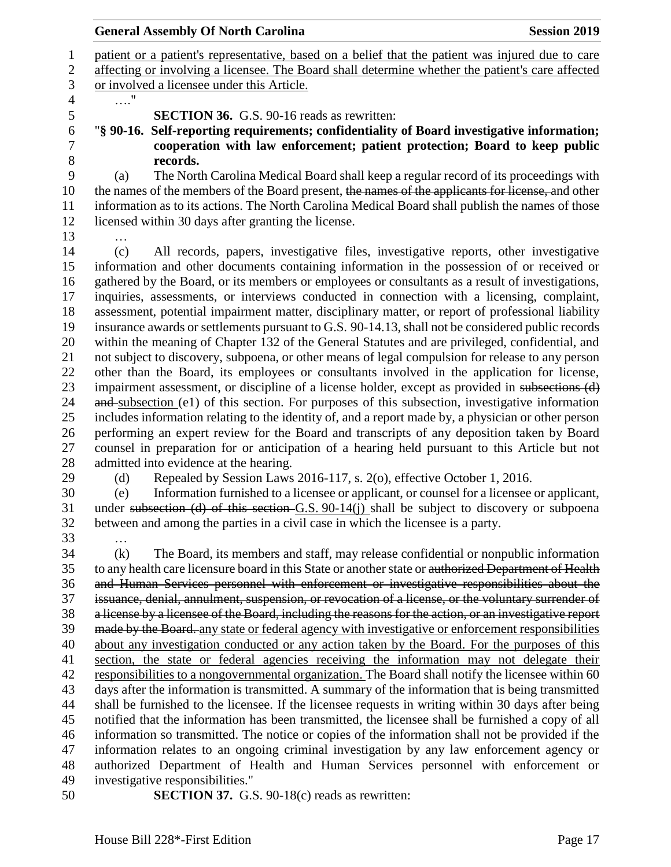| <b>General Assembly Of North Carolina</b><br><b>Session 2019</b>                                                                                                                                            |
|-------------------------------------------------------------------------------------------------------------------------------------------------------------------------------------------------------------|
| patient or a patient's representative, based on a belief that the patient was injured due to care                                                                                                           |
| affecting or involving a licensee. The Board shall determine whether the patient's care affected                                                                                                            |
| or involved a licensee under this Article.                                                                                                                                                                  |
|                                                                                                                                                                                                             |
| <b>SECTION 36.</b> G.S. 90-16 reads as rewritten:                                                                                                                                                           |
| "§ 90-16. Self-reporting requirements; confidentiality of Board investigative information;                                                                                                                  |
| cooperation with law enforcement; patient protection; Board to keep public                                                                                                                                  |
| records.                                                                                                                                                                                                    |
| The North Carolina Medical Board shall keep a regular record of its proceedings with<br>(a)                                                                                                                 |
| the names of the members of the Board present, the names of the applicants for license, and other                                                                                                           |
| information as to its actions. The North Carolina Medical Board shall publish the names of those                                                                                                            |
| licensed within 30 days after granting the license.                                                                                                                                                         |
|                                                                                                                                                                                                             |
| All records, papers, investigative files, investigative reports, other investigative<br>(c)                                                                                                                 |
| information and other documents containing information in the possession of or received or                                                                                                                  |
| gathered by the Board, or its members or employees or consultants as a result of investigations,                                                                                                            |
| inquiries, assessments, or interviews conducted in connection with a licensing, complaint,                                                                                                                  |
| assessment, potential impairment matter, disciplinary matter, or report of professional liability                                                                                                           |
| insurance awards or settlements pursuant to G.S. 90-14.13, shall not be considered public records                                                                                                           |
| within the meaning of Chapter 132 of the General Statutes and are privileged, confidential, and                                                                                                             |
| not subject to discovery, subpoena, or other means of legal compulsion for release to any person                                                                                                            |
| other than the Board, its employees or consultants involved in the application for license,                                                                                                                 |
| impairment assessment, or discipline of a license holder, except as provided in subsections (d)                                                                                                             |
| and subsection (e1) of this section. For purposes of this subsection, investigative information                                                                                                             |
| includes information relating to the identity of, and a report made by, a physician or other person                                                                                                         |
| performing an expert review for the Board and transcripts of any deposition taken by Board                                                                                                                  |
| counsel in preparation for or anticipation of a hearing held pursuant to this Article but not                                                                                                               |
| admitted into evidence at the hearing.                                                                                                                                                                      |
| Repealed by Session Laws 2016-117, s. 2(o), effective October 1, 2016.<br>(d)                                                                                                                               |
| Information furnished to a licensee or applicant, or counsel for a licensee or applicant,<br>(e)                                                                                                            |
| under subsection (d) of this section $G.S. 90-14(j)$ shall be subject to discovery or subpoena                                                                                                              |
| between and among the parties in a civil case in which the licensee is a party.                                                                                                                             |
|                                                                                                                                                                                                             |
| (k)<br>The Board, its members and staff, may release confidential or nonpublic information                                                                                                                  |
| to any health care licensure board in this State or another state or authorized Department of Health                                                                                                        |
| and Human Services personnel with enforcement or investigative responsibilities about the                                                                                                                   |
| issuance, denial, annulment, suspension, or revocation of a license, or the voluntary surrender of                                                                                                          |
|                                                                                                                                                                                                             |
| a license by a licensee of the Board, including the reasons for the action, or an investigative report<br>made by the Board, any state or federal agency with investigative or enforcement responsibilities |
|                                                                                                                                                                                                             |
| about any investigation conducted or any action taken by the Board. For the purposes of this                                                                                                                |
| section, the state or federal agencies receiving the information may not delegate their                                                                                                                     |
| responsibilities to a nongovernmental organization. The Board shall notify the licensee within 60                                                                                                           |
| days after the information is transmitted. A summary of the information that is being transmitted                                                                                                           |
| shall be furnished to the licensee. If the licensee requests in writing within 30 days after being                                                                                                          |
| notified that the information has been transmitted, the licensee shall be furnished a copy of all                                                                                                           |
| information so transmitted. The notice or copies of the information shall not be provided if the                                                                                                            |

- information relates to an ongoing criminal investigation by any law enforcement agency or authorized Department of Health and Human Services personnel with enforcement or investigative responsibilities."
- **SECTION 37.** G.S. 90-18(c) reads as rewritten: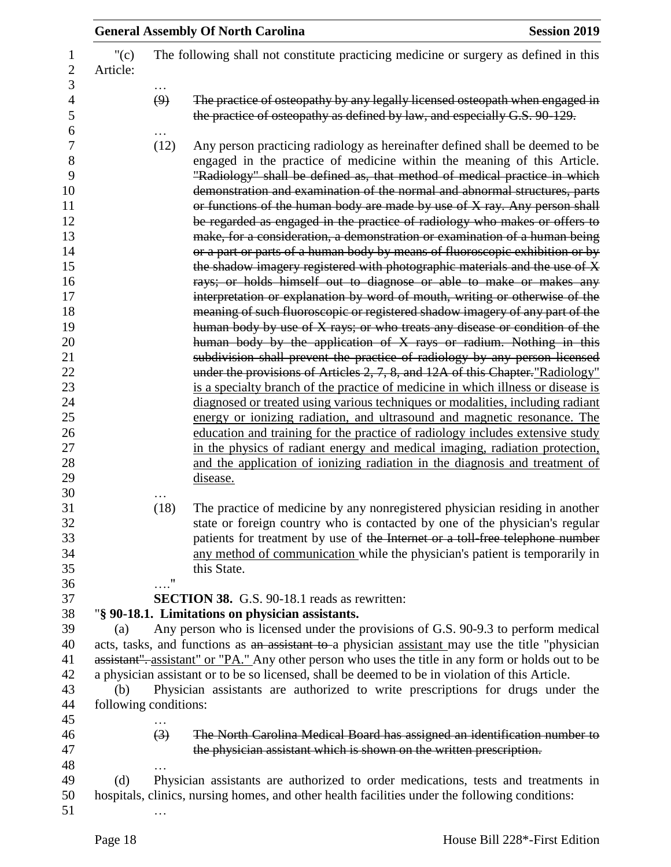|                       |                  | <b>General Assembly Of North Carolina</b>                                                                                                                                                                                                                                                                                                                                                                                                                                                                                                                                                                                                                                                                                                                                                                                                                                                                                                                                                                                                                                                                                                                                                                                                                                                                                                                              | <b>Session 2019</b> |
|-----------------------|------------------|------------------------------------------------------------------------------------------------------------------------------------------------------------------------------------------------------------------------------------------------------------------------------------------------------------------------------------------------------------------------------------------------------------------------------------------------------------------------------------------------------------------------------------------------------------------------------------------------------------------------------------------------------------------------------------------------------------------------------------------------------------------------------------------------------------------------------------------------------------------------------------------------------------------------------------------------------------------------------------------------------------------------------------------------------------------------------------------------------------------------------------------------------------------------------------------------------------------------------------------------------------------------------------------------------------------------------------------------------------------------|---------------------|
| $"({c})$<br>Article:  |                  | The following shall not constitute practicing medicine or surgery as defined in this                                                                                                                                                                                                                                                                                                                                                                                                                                                                                                                                                                                                                                                                                                                                                                                                                                                                                                                                                                                                                                                                                                                                                                                                                                                                                   |                     |
|                       | .<br>(9)         | The practice of osteopathy by any legally licensed osteopath when engaged in<br>the practice of osteopathy as defined by law, and especially G.S. 90-129.                                                                                                                                                                                                                                                                                                                                                                                                                                                                                                                                                                                                                                                                                                                                                                                                                                                                                                                                                                                                                                                                                                                                                                                                              |                     |
|                       | (12)             | Any person practicing radiology as hereinafter defined shall be deemed to be<br>engaged in the practice of medicine within the meaning of this Article.<br>"Radiology" shall be defined as, that method of medical practice in which<br>demonstration and examination of the normal and abnormal structures, parts<br>or functions of the human body are made by use of X ray. Any person shall<br>be regarded as engaged in the practice of radiology who makes or offers to<br>make, for a consideration, a demonstration or examination of a human being<br>or a part or parts of a human body by means of fluoroscopic exhibition or by<br>the shadow imagery registered with photographic materials and the use of X<br>rays; or holds himself out to diagnose or able to make or makes any<br>interpretation or explanation by word of mouth, writing or otherwise of the<br>meaning of such fluoroscopic or registered shadow imagery of any part of the<br>human body by use of X rays; or who treats any disease or condition of the<br>human body by the application of X rays or radium. Nothing in this<br>subdivision shall prevent the practice of radiology by any person licensed<br>under the provisions of Articles 2, 7, 8, and 12A of this Chapter."Radiology"<br>is a specialty branch of the practice of medicine in which illness or disease is |                     |
|                       |                  | diagnosed or treated using various techniques or modalities, including radiant<br>energy or ionizing radiation, and ultrasound and magnetic resonance. The<br>education and training for the practice of radiology includes extensive study<br>in the physics of radiant energy and medical imaging, radiation protection,<br>and the application of ionizing radiation in the diagnosis and treatment of<br>disease.                                                                                                                                                                                                                                                                                                                                                                                                                                                                                                                                                                                                                                                                                                                                                                                                                                                                                                                                                  |                     |
|                       | (18)             | The practice of medicine by any nonregistered physician residing in another<br>state or foreign country who is contacted by one of the physician's regular<br>patients for treatment by use of the Internet or a toll free telephone number<br>any method of communication while the physician's patient is temporarily in<br>this State.                                                                                                                                                                                                                                                                                                                                                                                                                                                                                                                                                                                                                                                                                                                                                                                                                                                                                                                                                                                                                              |                     |
|                       | $\ldots$ "       | <b>SECTION 38.</b> G.S. 90-18.1 reads as rewritten:<br>"§ 90-18.1. Limitations on physician assistants.                                                                                                                                                                                                                                                                                                                                                                                                                                                                                                                                                                                                                                                                                                                                                                                                                                                                                                                                                                                                                                                                                                                                                                                                                                                                |                     |
| (a)<br>(b)            |                  | Any person who is licensed under the provisions of G.S. 90-9.3 to perform medical<br>acts, tasks, and functions as an assistant to a physician assistant may use the title "physician<br>assistant". assistant" or "PA." Any other person who uses the title in any form or holds out to be<br>a physician assistant or to be so licensed, shall be deemed to be in violation of this Article.<br>Physician assistants are authorized to write prescriptions for drugs under the                                                                                                                                                                                                                                                                                                                                                                                                                                                                                                                                                                                                                                                                                                                                                                                                                                                                                       |                     |
| following conditions: | $\left(3\right)$ | The North Carolina Medical Board has assigned an identification number to<br>the physician assistant which is shown on the written prescription.                                                                                                                                                                                                                                                                                                                                                                                                                                                                                                                                                                                                                                                                                                                                                                                                                                                                                                                                                                                                                                                                                                                                                                                                                       |                     |
| (d)                   |                  | Physician assistants are authorized to order medications, tests and treatments in<br>hospitals, clinics, nursing homes, and other health facilities under the following conditions:                                                                                                                                                                                                                                                                                                                                                                                                                                                                                                                                                                                                                                                                                                                                                                                                                                                                                                                                                                                                                                                                                                                                                                                    |                     |
|                       |                  |                                                                                                                                                                                                                                                                                                                                                                                                                                                                                                                                                                                                                                                                                                                                                                                                                                                                                                                                                                                                                                                                                                                                                                                                                                                                                                                                                                        |                     |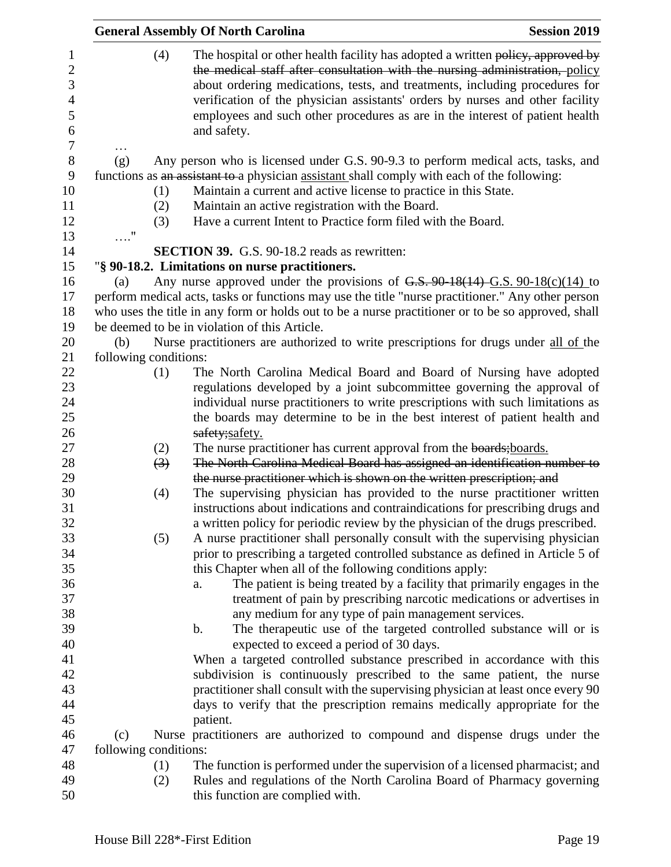|                       | <b>General Assembly Of North Carolina</b>                                                                                                                                                                                                                                                                                                                                                                                      | <b>Session 2019</b> |
|-----------------------|--------------------------------------------------------------------------------------------------------------------------------------------------------------------------------------------------------------------------------------------------------------------------------------------------------------------------------------------------------------------------------------------------------------------------------|---------------------|
| (4)                   | The hospital or other health facility has adopted a written policy, approved by<br>the medical staff after consultation with the nursing administration, policy<br>about ordering medications, tests, and treatments, including procedures for<br>verification of the physician assistants' orders by nurses and other facility<br>employees and such other procedures as are in the interest of patient health<br>and safety. |                     |
| (g)                   | Any person who is licensed under G.S. 90-9.3 to perform medical acts, tasks, and                                                                                                                                                                                                                                                                                                                                               |                     |
|                       | functions as an assistant to a physician assistant shall comply with each of the following:                                                                                                                                                                                                                                                                                                                                    |                     |
| (1)                   | Maintain a current and active license to practice in this State.                                                                                                                                                                                                                                                                                                                                                               |                     |
| (2)                   | Maintain an active registration with the Board.                                                                                                                                                                                                                                                                                                                                                                                |                     |
| (3)                   | Have a current Intent to Practice form filed with the Board.                                                                                                                                                                                                                                                                                                                                                                   |                     |
| $\ldots$ "            |                                                                                                                                                                                                                                                                                                                                                                                                                                |                     |
|                       | <b>SECTION 39.</b> G.S. 90-18.2 reads as rewritten:                                                                                                                                                                                                                                                                                                                                                                            |                     |
|                       | "§ 90-18.2. Limitations on nurse practitioners.                                                                                                                                                                                                                                                                                                                                                                                |                     |
| (a)                   | Any nurse approved under the provisions of $G.S. 90-18(14) - G.S. 90-18(c)(14)$ to                                                                                                                                                                                                                                                                                                                                             |                     |
|                       | perform medical acts, tasks or functions may use the title "nurse practitioner." Any other person                                                                                                                                                                                                                                                                                                                              |                     |
|                       | who uses the title in any form or holds out to be a nurse practitioner or to be so approved, shall                                                                                                                                                                                                                                                                                                                             |                     |
|                       | be deemed to be in violation of this Article.                                                                                                                                                                                                                                                                                                                                                                                  |                     |
| (b)                   | Nurse practitioners are authorized to write prescriptions for drugs under all of the                                                                                                                                                                                                                                                                                                                                           |                     |
| following conditions: |                                                                                                                                                                                                                                                                                                                                                                                                                                |                     |
| (1)                   | The North Carolina Medical Board and Board of Nursing have adopted                                                                                                                                                                                                                                                                                                                                                             |                     |
|                       | regulations developed by a joint subcommittee governing the approval of                                                                                                                                                                                                                                                                                                                                                        |                     |
|                       | individual nurse practitioners to write prescriptions with such limitations as                                                                                                                                                                                                                                                                                                                                                 |                     |
|                       | the boards may determine to be in the best interest of patient health and                                                                                                                                                                                                                                                                                                                                                      |                     |
|                       | safety;safety.                                                                                                                                                                                                                                                                                                                                                                                                                 |                     |
| (2)                   | The nurse practitioner has current approval from the boards; boards.                                                                                                                                                                                                                                                                                                                                                           |                     |
| (3)                   | The North Carolina Medical Board has assigned an identification number to                                                                                                                                                                                                                                                                                                                                                      |                     |
|                       | the nurse practitioner which is shown on the written prescription; and                                                                                                                                                                                                                                                                                                                                                         |                     |
| (4)                   | The supervising physician has provided to the nurse practitioner written                                                                                                                                                                                                                                                                                                                                                       |                     |
|                       | instructions about indications and contraindications for prescribing drugs and                                                                                                                                                                                                                                                                                                                                                 |                     |
|                       | a written policy for periodic review by the physician of the drugs prescribed.                                                                                                                                                                                                                                                                                                                                                 |                     |
| (5)                   | A nurse practitioner shall personally consult with the supervising physician                                                                                                                                                                                                                                                                                                                                                   |                     |
|                       | prior to prescribing a targeted controlled substance as defined in Article 5 of                                                                                                                                                                                                                                                                                                                                                |                     |
|                       | this Chapter when all of the following conditions apply:                                                                                                                                                                                                                                                                                                                                                                       |                     |
|                       | The patient is being treated by a facility that primarily engages in the<br>a.<br>treatment of pain by prescribing narcotic medications or advertises in                                                                                                                                                                                                                                                                       |                     |
|                       | any medium for any type of pain management services.                                                                                                                                                                                                                                                                                                                                                                           |                     |
|                       | The therapeutic use of the targeted controlled substance will or is<br>b.                                                                                                                                                                                                                                                                                                                                                      |                     |
|                       | expected to exceed a period of 30 days.                                                                                                                                                                                                                                                                                                                                                                                        |                     |
|                       | When a targeted controlled substance prescribed in accordance with this                                                                                                                                                                                                                                                                                                                                                        |                     |
|                       | subdivision is continuously prescribed to the same patient, the nurse                                                                                                                                                                                                                                                                                                                                                          |                     |
|                       | practitioner shall consult with the supervising physician at least once every 90                                                                                                                                                                                                                                                                                                                                               |                     |
|                       | days to verify that the prescription remains medically appropriate for the                                                                                                                                                                                                                                                                                                                                                     |                     |
|                       | patient.                                                                                                                                                                                                                                                                                                                                                                                                                       |                     |
| (c)                   | Nurse practitioners are authorized to compound and dispense drugs under the                                                                                                                                                                                                                                                                                                                                                    |                     |
| following conditions: |                                                                                                                                                                                                                                                                                                                                                                                                                                |                     |
| (1)                   | The function is performed under the supervision of a licensed pharmacist; and                                                                                                                                                                                                                                                                                                                                                  |                     |
| (2)                   | Rules and regulations of the North Carolina Board of Pharmacy governing                                                                                                                                                                                                                                                                                                                                                        |                     |
|                       | this function are complied with.                                                                                                                                                                                                                                                                                                                                                                                               |                     |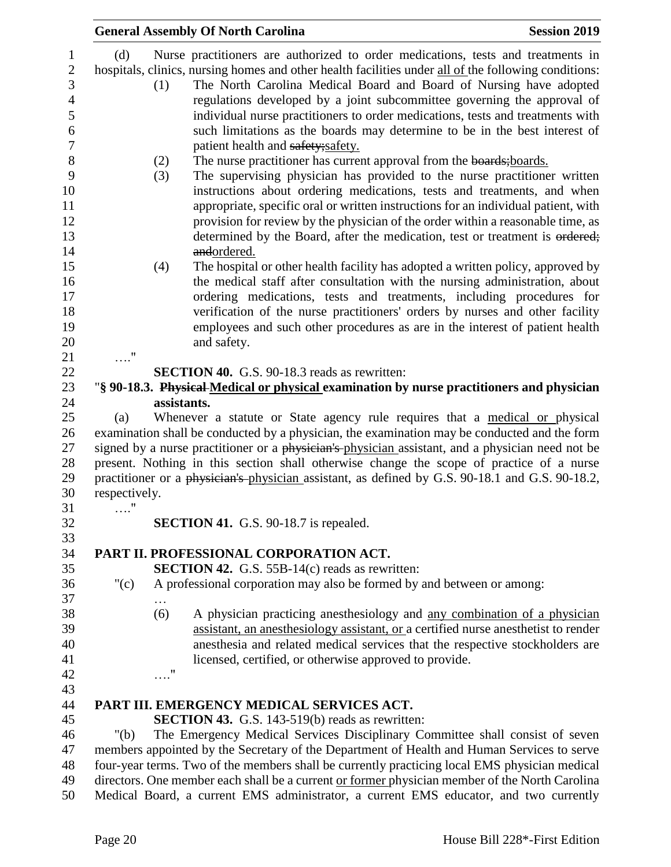|               |             | <b>General Assembly Of North Carolina</b>                                                                                                                                                                                                                                                                                                                                                                                                                                                                                                       | <b>Session 2019</b> |
|---------------|-------------|-------------------------------------------------------------------------------------------------------------------------------------------------------------------------------------------------------------------------------------------------------------------------------------------------------------------------------------------------------------------------------------------------------------------------------------------------------------------------------------------------------------------------------------------------|---------------------|
| (d)           | (1)         | Nurse practitioners are authorized to order medications, tests and treatments in<br>hospitals, clinics, nursing homes and other health facilities under all of the following conditions:<br>The North Carolina Medical Board and Board of Nursing have adopted<br>regulations developed by a joint subcommittee governing the approval of<br>individual nurse practitioners to order medications, tests and treatments with<br>such limitations as the boards may determine to be in the best interest of<br>patient health and safety; safety. |                     |
|               | (2)<br>(3)  | The nurse practitioner has current approval from the boards; boards.<br>The supervising physician has provided to the nurse practitioner written<br>instructions about ordering medications, tests and treatments, and when<br>appropriate, specific oral or written instructions for an individual patient, with<br>provision for review by the physician of the order within a reasonable time, as<br>determined by the Board, after the medication, test or treatment is ordered;<br>andordered.                                             |                     |
| $\ldots$ "    | (4)         | The hospital or other health facility has adopted a written policy, approved by<br>the medical staff after consultation with the nursing administration, about<br>ordering medications, tests and treatments, including procedures for<br>verification of the nurse practitioners' orders by nurses and other facility<br>employees and such other procedures as are in the interest of patient health<br>and safety.                                                                                                                           |                     |
|               |             | <b>SECTION 40.</b> G.S. 90-18.3 reads as rewritten:                                                                                                                                                                                                                                                                                                                                                                                                                                                                                             |                     |
|               |             | "§ 90-18.3. Physical Medical or physical examination by nurse practitioners and physician                                                                                                                                                                                                                                                                                                                                                                                                                                                       |                     |
|               | assistants. |                                                                                                                                                                                                                                                                                                                                                                                                                                                                                                                                                 |                     |
| (a)           |             | Whenever a statute or State agency rule requires that a medical or physical                                                                                                                                                                                                                                                                                                                                                                                                                                                                     |                     |
|               |             | examination shall be conducted by a physician, the examination may be conducted and the form                                                                                                                                                                                                                                                                                                                                                                                                                                                    |                     |
|               |             | signed by a nurse practitioner or a physician's physician assistant, and a physician need not be                                                                                                                                                                                                                                                                                                                                                                                                                                                |                     |
|               |             | present. Nothing in this section shall otherwise change the scope of practice of a nurse                                                                                                                                                                                                                                                                                                                                                                                                                                                        |                     |
|               |             | practitioner or a physician's physician assistant, as defined by G.S. 90-18.1 and G.S. 90-18.2,                                                                                                                                                                                                                                                                                                                                                                                                                                                 |                     |
|               |             |                                                                                                                                                                                                                                                                                                                                                                                                                                                                                                                                                 |                     |
| respectively. |             |                                                                                                                                                                                                                                                                                                                                                                                                                                                                                                                                                 |                     |
| $\ldots$ "    |             |                                                                                                                                                                                                                                                                                                                                                                                                                                                                                                                                                 |                     |
|               |             | <b>SECTION 41.</b> G.S. 90-18.7 is repealed.                                                                                                                                                                                                                                                                                                                                                                                                                                                                                                    |                     |
|               |             |                                                                                                                                                                                                                                                                                                                                                                                                                                                                                                                                                 |                     |
|               |             | PART II. PROFESSIONAL CORPORATION ACT.                                                                                                                                                                                                                                                                                                                                                                                                                                                                                                          |                     |
|               |             | <b>SECTION 42.</b> G.S. 55B-14(c) reads as rewritten:                                                                                                                                                                                                                                                                                                                                                                                                                                                                                           |                     |
| " $(c)$       |             | A professional corporation may also be formed by and between or among:                                                                                                                                                                                                                                                                                                                                                                                                                                                                          |                     |
|               | $\cdots$    |                                                                                                                                                                                                                                                                                                                                                                                                                                                                                                                                                 |                     |
|               | (6)         | A physician practicing anesthesiology and any combination of a physician                                                                                                                                                                                                                                                                                                                                                                                                                                                                        |                     |
|               |             | assistant, an anesthesiology assistant, or a certified nurse anesthetist to render                                                                                                                                                                                                                                                                                                                                                                                                                                                              |                     |
|               |             | anesthesia and related medical services that the respective stockholders are                                                                                                                                                                                                                                                                                                                                                                                                                                                                    |                     |
|               |             | licensed, certified, or otherwise approved to provide.                                                                                                                                                                                                                                                                                                                                                                                                                                                                                          |                     |
|               | $\ldots$ "  |                                                                                                                                                                                                                                                                                                                                                                                                                                                                                                                                                 |                     |
|               |             |                                                                                                                                                                                                                                                                                                                                                                                                                                                                                                                                                 |                     |
|               |             | PART III. EMERGENCY MEDICAL SERVICES ACT.                                                                                                                                                                                                                                                                                                                                                                                                                                                                                                       |                     |
|               |             | <b>SECTION 43.</b> G.S. 143-519(b) reads as rewritten:                                                                                                                                                                                                                                                                                                                                                                                                                                                                                          |                     |
| " $(b)$       |             | The Emergency Medical Services Disciplinary Committee shall consist of seven                                                                                                                                                                                                                                                                                                                                                                                                                                                                    |                     |
|               |             | members appointed by the Secretary of the Department of Health and Human Services to serve                                                                                                                                                                                                                                                                                                                                                                                                                                                      |                     |
|               |             | four-year terms. Two of the members shall be currently practicing local EMS physician medical                                                                                                                                                                                                                                                                                                                                                                                                                                                   |                     |
|               |             | directors. One member each shall be a current or former physician member of the North Carolina                                                                                                                                                                                                                                                                                                                                                                                                                                                  |                     |
|               |             | Medical Board, a current EMS administrator, a current EMS educator, and two currently                                                                                                                                                                                                                                                                                                                                                                                                                                                           |                     |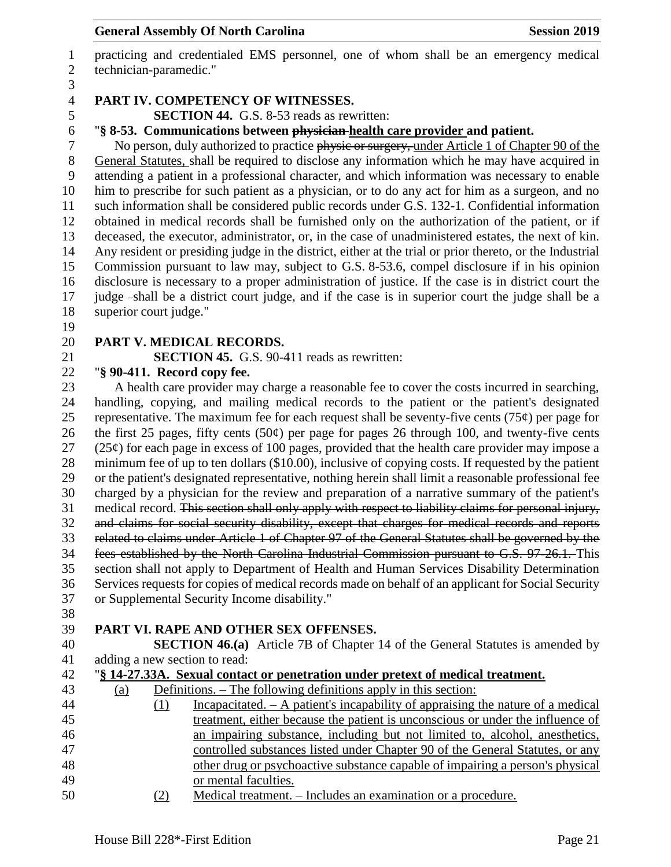practicing and credentialed EMS personnel, one of whom shall be an emergency medical technician-paramedic."

### **PART IV. COMPETENCY OF WITNESSES.**

**SECTION 44.** G.S. 8-53 reads as rewritten:

"**§ 8-53. Communications between physician health care provider and patient.**

7 No person, duly authorized to practice physic or surgery, under Article 1 of Chapter 90 of the General Statutes, shall be required to disclose any information which he may have acquired in attending a patient in a professional character, and which information was necessary to enable him to prescribe for such patient as a physician, or to do any act for him as a surgeon, and no such information shall be considered public records under G.S. 132-1. Confidential information obtained in medical records shall be furnished only on the authorization of the patient, or if deceased, the executor, administrator, or, in the case of unadministered estates, the next of kin. Any resident or presiding judge in the district, either at the trial or prior thereto, or the Industrial Commission pursuant to law may, subject to G.S. 8-53.6, compel disclosure if in his opinion disclosure is necessary to a proper administration of justice. If the case is in district court the judge shall be a district court judge, and if the case is in superior court the judge shall be a superior court judge."

## **PART V. MEDICAL RECORDS.**

**SECTION 45.** G.S. 90-411 reads as rewritten:

## "**§ 90-411. Record copy fee.**

 A health care provider may charge a reasonable fee to cover the costs incurred in searching, handling, copying, and mailing medical records to the patient or the patient's designated 25 representative. The maximum fee for each request shall be seventy-five cents (75 $\varphi$ ) per page for 26 the first 25 pages, fifty cents (50 $\varphi$ ) per page for pages 26 through 100, and twenty-five cents (25¢) for each page in excess of 100 pages, provided that the health care provider may impose a minimum fee of up to ten dollars (\$10.00), inclusive of copying costs. If requested by the patient or the patient's designated representative, nothing herein shall limit a reasonable professional fee charged by a physician for the review and preparation of a narrative summary of the patient's medical record. This section shall only apply with respect to liability claims for personal injury, and claims for social security disability, except that charges for medical records and reports related to claims under Article 1 of Chapter 97 of the General Statutes shall be governed by the fees established by the North Carolina Industrial Commission pursuant to G.S. 97-26.1. This section shall not apply to Department of Health and Human Services Disability Determination Services requests for copies of medical records made on behalf of an applicant for Social Security or Supplemental Security Income disability."

# **PART VI. RAPE AND OTHER SEX OFFENSES.**

 **SECTION 46.(a)** Article 7B of Chapter 14 of the General Statutes is amended by adding a new section to read:

|  |  |  | 42 "§ 14-27.33A. Sexual contact or penetration under pretext of medical treatment. |  |  |  |
|--|--|--|------------------------------------------------------------------------------------|--|--|--|
|  |  |  |                                                                                    |  |  |  |

| 43 | $\left( a\right)$ | Definitions. – The following definitions apply in this section:                   |
|----|-------------------|-----------------------------------------------------------------------------------|
| 44 |                   | Incapacitated. $- A$ patient's incapability of appraising the nature of a medical |
| 45 |                   | treatment, either because the patient is unconscious or under the influence of    |
| 46 |                   | an impairing substance, including but not limited to, alcohol, anesthetics,       |
| 47 |                   | controlled substances listed under Chapter 90 of the General Statutes, or any     |
| 48 |                   | other drug or psychoactive substance capable of impairing a person's physical     |
| 49 |                   | or mental faculties.                                                              |
| 50 |                   | Medical treatment Includes an examination or a procedure                          |

 $\frac{1}{2}$  Medical treatment. – Includes an examination or a procedure.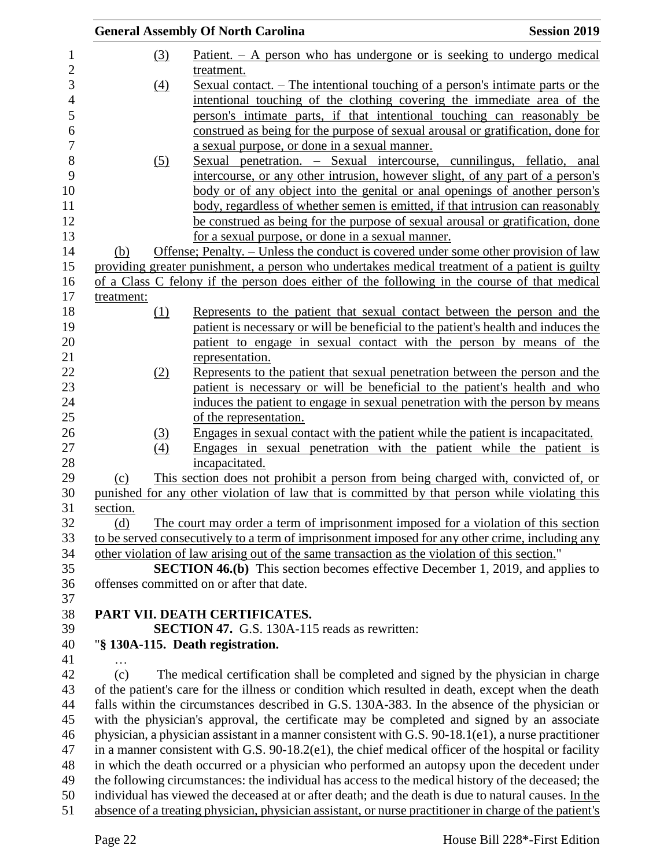|            |            | <b>General Assembly Of North Carolina</b>                                                                                                                                                                  | <b>Session 2019</b> |
|------------|------------|------------------------------------------------------------------------------------------------------------------------------------------------------------------------------------------------------------|---------------------|
|            | (3)        | Patient. $- A$ person who has undergone or is seeking to undergo medical                                                                                                                                   |                     |
|            |            | treatment.                                                                                                                                                                                                 |                     |
|            | (4)        | <u>Sexual contact. – The intentional touching of a person's intimate parts or the</u>                                                                                                                      |                     |
|            |            | intentional touching of the clothing covering the immediate area of the                                                                                                                                    |                     |
|            |            | person's intimate parts, if that intentional touching can reasonably be                                                                                                                                    |                     |
|            |            | construed as being for the purpose of sexual arousal or gratification, done for                                                                                                                            |                     |
|            |            | a sexual purpose, or done in a sexual manner.                                                                                                                                                              |                     |
|            | <u>(5)</u> | Sexual penetration. – Sexual intercourse, cunnilingus, fellatio, anal                                                                                                                                      |                     |
|            |            | intercourse, or any other intrusion, however slight, of any part of a person's                                                                                                                             |                     |
|            |            | body or of any object into the genital or anal openings of another person's                                                                                                                                |                     |
|            |            | body, regardless of whether semen is emitted, if that intrusion can reasonably                                                                                                                             |                     |
|            |            | be construed as being for the purpose of sexual arousal or gratification, done                                                                                                                             |                     |
|            |            | for a sexual purpose, or done in a sexual manner.                                                                                                                                                          |                     |
| (b)        |            | Offense; Penalty. – Unless the conduct is covered under some other provision of law                                                                                                                        |                     |
|            |            | providing greater punishment, a person who undertakes medical treatment of a patient is guilty                                                                                                             |                     |
|            |            | of a Class C felony if the person does either of the following in the course of that medical                                                                                                               |                     |
| treatment: |            |                                                                                                                                                                                                            |                     |
|            | (1)        | Represents to the patient that sexual contact between the person and the                                                                                                                                   |                     |
|            |            | patient is necessary or will be beneficial to the patient's health and induces the                                                                                                                         |                     |
|            |            | patient to engage in sexual contact with the person by means of the                                                                                                                                        |                     |
|            |            | representation.                                                                                                                                                                                            |                     |
|            | (2)        | Represents to the patient that sexual penetration between the person and the                                                                                                                               |                     |
|            |            | patient is necessary or will be beneficial to the patient's health and who                                                                                                                                 |                     |
|            |            | induces the patient to engage in sexual penetration with the person by means                                                                                                                               |                     |
|            |            | of the representation.                                                                                                                                                                                     |                     |
|            | (3)        | Engages in sexual contact with the patient while the patient is incapacitated.                                                                                                                             |                     |
|            | (4)        | Engages in sexual penetration with the patient while the patient is                                                                                                                                        |                     |
|            |            | incapacitated.                                                                                                                                                                                             |                     |
| (c)        |            | This section does not prohibit a person from being charged with, convicted of, or                                                                                                                          |                     |
|            |            | punished for any other violation of law that is committed by that person while violating this                                                                                                              |                     |
| section.   |            |                                                                                                                                                                                                            |                     |
| (d)        |            | The court may order a term of imprisonment imposed for a violation of this section                                                                                                                         |                     |
|            |            | to be served consecutively to a term of imprisonment imposed for any other crime, including any                                                                                                            |                     |
|            |            | other violation of law arising out of the same transaction as the violation of this section."                                                                                                              |                     |
|            |            | <b>SECTION 46.(b)</b> This section becomes effective December 1, 2019, and applies to                                                                                                                      |                     |
|            |            | offenses committed on or after that date.                                                                                                                                                                  |                     |
|            |            |                                                                                                                                                                                                            |                     |
|            |            | PART VII. DEATH CERTIFICATES.                                                                                                                                                                              |                     |
|            |            | <b>SECTION 47.</b> G.S. 130A-115 reads as rewritten:                                                                                                                                                       |                     |
|            |            | "§ 130A-115. Death registration.                                                                                                                                                                           |                     |
|            |            |                                                                                                                                                                                                            |                     |
|            |            | The medical certification shall be completed and signed by the physician in charge                                                                                                                         |                     |
| (c)        |            |                                                                                                                                                                                                            |                     |
|            |            | of the patient's care for the illness or condition which resulted in death, except when the death                                                                                                          |                     |
|            |            | falls within the circumstances described in G.S. 130A-383. In the absence of the physician or                                                                                                              |                     |
|            |            | with the physician's approval, the certificate may be completed and signed by an associate                                                                                                                 |                     |
|            |            | physician, a physician assistant in a manner consistent with G.S. 90-18.1(e1), a nurse practitioner                                                                                                        |                     |
|            |            | in a manner consistent with G.S. $90-18.2(e1)$ , the chief medical officer of the hospital or facility                                                                                                     |                     |
|            |            | in which the death occurred or a physician who performed an autopsy upon the decedent under                                                                                                                |                     |
|            |            |                                                                                                                                                                                                            |                     |
|            |            | the following circumstances: the individual has access to the medical history of the deceased; the<br>individual has viewed the deceased at or after death; and the death is due to natural causes. In the |                     |